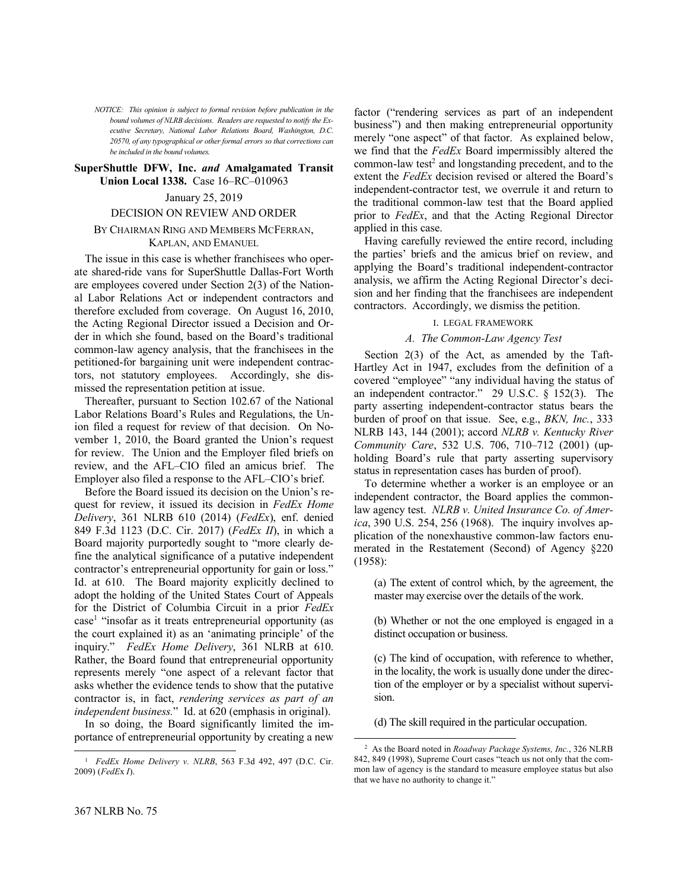*NOTICE: This opinion is subject to formal revision before publication in the bound volumes of NLRB decisions. Readers are requested to notify the Executive Secretary, National Labor Relations Board, Washington, D.C. 20570, of any typographical or other formal errors so that corrections can be included in the bound volumes.*

#### **SuperShuttle DFW, Inc.** *and* **Amalgamated Transit Union Local 1338.** Case 16–RC–010963

#### January 25, 2019

### DECISION ON REVIEW AND ORDER

### BY CHAIRMAN RING AND MEMBERS MCFERRAN, KAPLAN, AND EMANUEL

The issue in this case is whether franchisees who operate shared-ride vans for SuperShuttle Dallas-Fort Worth are employees covered under Section 2(3) of the National Labor Relations Act or independent contractors and therefore excluded from coverage. On August 16, 2010, the Acting Regional Director issued a Decision and Order in which she found, based on the Board's traditional common-law agency analysis, that the franchisees in the petitioned-for bargaining unit were independent contractors, not statutory employees. Accordingly, she dismissed the representation petition at issue.

Thereafter, pursuant to Section 102.67 of the National Labor Relations Board's Rules and Regulations, the Union filed a request for review of that decision. On November 1, 2010, the Board granted the Union's request for review. The Union and the Employer filed briefs on review, and the AFL–CIO filed an amicus brief. The Employer also filed a response to the AFL–CIO's brief.

Before the Board issued its decision on the Union's request for review, it issued its decision in *FedEx Home Delivery*, 361 NLRB 610 (2014) (*FedEx*), enf. denied 849 F.3d 1123 (D.C. Cir. 2017) (*FedEx II*), in which a Board majority purportedly sought to "more clearly define the analytical significance of a putative independent contractor's entrepreneurial opportunity for gain or loss." Id. at 610. The Board majority explicitly declined to adopt the holding of the United States Court of Appeals for the District of Columbia Circuit in a prior *FedEx* case<sup>1</sup> "insofar as it treats entrepreneurial opportunity (as the court explained it) as an 'animating principle' of the inquiry." *FedEx Home Delivery*, 361 NLRB at 610. Rather, the Board found that entrepreneurial opportunity represents merely "one aspect of a relevant factor that asks whether the evidence tends to show that the putative contractor is, in fact, *rendering services as part of an independent business.*" Id. at 620 (emphasis in original).

In so doing, the Board significantly limited the importance of entrepreneurial opportunity by creating a new

factor ("rendering services as part of an independent business") and then making entrepreneurial opportunity merely "one aspect" of that factor. As explained below, we find that the *FedEx* Board impermissibly altered the common-law test<sup>2</sup> and longstanding precedent, and to the extent the *FedEx* decision revised or altered the Board's independent-contractor test, we overrule it and return to the traditional common-law test that the Board applied prior to *FedEx*, and that the Acting Regional Director applied in this case.

Having carefully reviewed the entire record, including the parties' briefs and the amicus brief on review, and applying the Board's traditional independent-contractor analysis, we affirm the Acting Regional Director's decision and her finding that the franchisees are independent contractors. Accordingly, we dismiss the petition.

### I. LEGAL FRAMEWORK

### *A. The Common-Law Agency Test*

Section 2(3) of the Act, as amended by the Taft-Hartley Act in 1947, excludes from the definition of a covered "employee" "any individual having the status of an independent contractor." 29 U.S.C. § 152(3). The party asserting independent-contractor status bears the burden of proof on that issue. See, e.g., *BKN, Inc.*, 333 NLRB 143, 144 (2001); accord *NLRB v. Kentucky River Community Care*, 532 U.S. 706, 710–712 (2001) (upholding Board's rule that party asserting supervisory status in representation cases has burden of proof).

To determine whether a worker is an employee or an independent contractor, the Board applies the commonlaw agency test. *NLRB v. United Insurance Co. of America*, 390 U.S. 254, 256 (1968). The inquiry involves application of the nonexhaustive common-law factors enumerated in the Restatement (Second) of Agency §220 (1958):

(a) The extent of control which, by the agreement, the master may exercise over the details of the work.

(b) Whether or not the one employed is engaged in a distinct occupation or business.

(c) The kind of occupation, with reference to whether, in the locality, the work is usually done under the direction of the employer or by a specialist without supervision.

(d) The skill required in the particular occupation.

l

-

<sup>1</sup> *FedEx Home Delivery v. NLRB*, 563 F.3d 492, 497 (D.C. Cir. 2009) (*FedE*x *I*).

<sup>2</sup> As the Board noted in *Roadway Package Systems, Inc.*, 326 NLRB 842, 849 (1998), Supreme Court cases "teach us not only that the common law of agency is the standard to measure employee status but also that we have no authority to change it."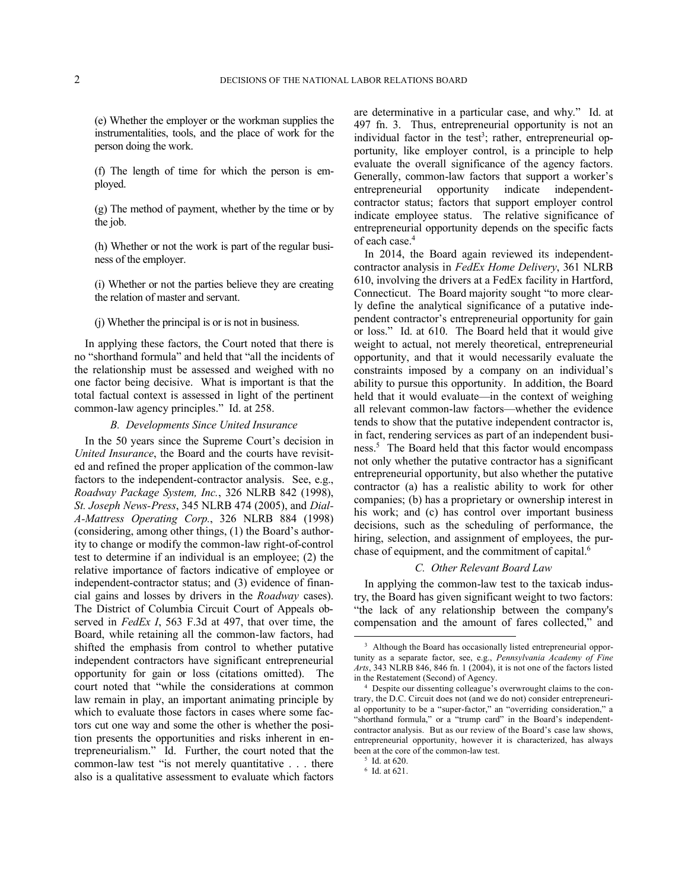(e) Whether the employer or the workman supplies the instrumentalities, tools, and the place of work for the person doing the work.

(f) The length of time for which the person is employed.

(g) The method of payment, whether by the time or by the job.

(h) Whether or not the work is part of the regular business of the employer.

(i) Whether or not the parties believe they are creating the relation of master and servant.

(j) Whether the principal is or is not in business.

In applying these factors, the Court noted that there is no "shorthand formula" and held that "all the incidents of the relationship must be assessed and weighed with no one factor being decisive. What is important is that the total factual context is assessed in light of the pertinent common-law agency principles." Id. at 258.

#### *B. Developments Since United Insurance*

In the 50 years since the Supreme Court's decision in *United Insurance*, the Board and the courts have revisited and refined the proper application of the common-law factors to the independent-contractor analysis. See, e.g., *Roadway Package System, Inc.*, 326 NLRB 842 (1998), *St. Joseph News-Press*, 345 NLRB 474 (2005), and *Dial-A-Mattress Operating Corp.*, 326 NLRB 884 (1998) (considering, among other things, (1) the Board's authority to change or modify the common-law right-of-control test to determine if an individual is an employee; (2) the relative importance of factors indicative of employee or independent-contractor status; and (3) evidence of financial gains and losses by drivers in the *Roadway* cases). The District of Columbia Circuit Court of Appeals observed in *FedEx I*, 563 F.3d at 497, that over time, the Board, while retaining all the common-law factors, had shifted the emphasis from control to whether putative independent contractors have significant entrepreneurial opportunity for gain or loss (citations omitted). The court noted that "while the considerations at common law remain in play, an important animating principle by which to evaluate those factors in cases where some factors cut one way and some the other is whether the position presents the opportunities and risks inherent in entrepreneurialism." Id. Further, the court noted that the common-law test "is not merely quantitative . . . there also is a qualitative assessment to evaluate which factors

are determinative in a particular case, and why." Id. at 497 fn. 3. Thus, entrepreneurial opportunity is not an individual factor in the test<sup>3</sup>; rather, entrepreneurial opportunity, like employer control, is a principle to help evaluate the overall significance of the agency factors. Generally, common-law factors that support a worker's entrepreneurial opportunity indicate independentcontractor status; factors that support employer control indicate employee status. The relative significance of entrepreneurial opportunity depends on the specific facts of each case.<sup>4</sup>

In 2014, the Board again reviewed its independentcontractor analysis in *FedEx Home Delivery*, 361 NLRB 610, involving the drivers at a FedEx facility in Hartford, Connecticut. The Board majority sought "to more clearly define the analytical significance of a putative independent contractor's entrepreneurial opportunity for gain or loss." Id. at 610. The Board held that it would give weight to actual, not merely theoretical, entrepreneurial opportunity, and that it would necessarily evaluate the constraints imposed by a company on an individual's ability to pursue this opportunity. In addition, the Board held that it would evaluate—in the context of weighing all relevant common-law factors—whether the evidence tends to show that the putative independent contractor is, in fact, rendering services as part of an independent business.<sup>5</sup> The Board held that this factor would encompass not only whether the putative contractor has a significant entrepreneurial opportunity, but also whether the putative contractor (a) has a realistic ability to work for other companies; (b) has a proprietary or ownership interest in his work; and (c) has control over important business decisions, such as the scheduling of performance, the hiring, selection, and assignment of employees, the purchase of equipment, and the commitment of capital.<sup>6</sup>

### *C. Other Relevant Board Law*

In applying the common-law test to the taxicab industry, the Board has given significant weight to two factors: "the lack of any relationship between the company's compensation and the amount of fares collected," and

-

<sup>&</sup>lt;sup>3</sup> Although the Board has occasionally listed entrepreneurial opportunity as a separate factor, see, e.g., *Pennsylvania Academy of Fine Arts*, 343 NLRB 846, 846 fn. 1 (2004), it is not one of the factors listed in the Restatement (Second) of Agency.

<sup>4</sup> Despite our dissenting colleague's overwrought claims to the contrary, the D.C. Circuit does not (and we do not) consider entrepreneurial opportunity to be a "super-factor," an "overriding consideration," a "shorthand formula," or a "trump card" in the Board's independentcontractor analysis. But as our review of the Board's case law shows, entrepreneurial opportunity, however it is characterized, has always been at the core of the common-law test.

<sup>5</sup> Id. at 620.

<sup>6</sup> Id. at 621.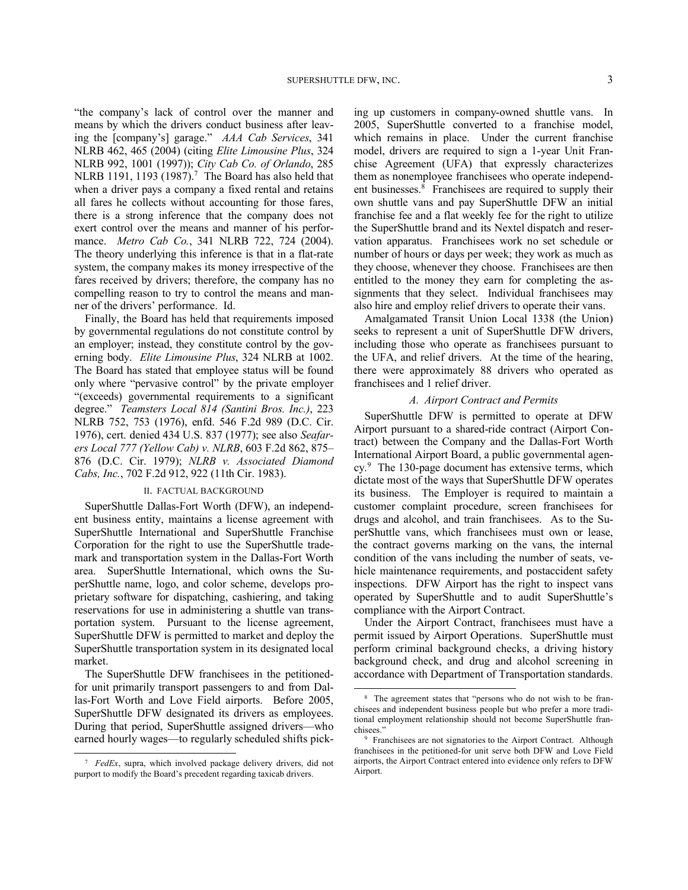"the company's lack of control over the manner and means by which the drivers conduct business after leaving the [company's] garage." *AAA Cab Services*, 341 NLRB 462, 465 (2004) (citing *Elite Limousine Plus*, 324 NLRB 992, 1001 (1997)); *City Cab Co. of Orlando*, 285 NLRB 1191, 1193 (1987).<sup>7</sup> The Board has also held that when a driver pays a company a fixed rental and retains all fares he collects without accounting for those fares, there is a strong inference that the company does not exert control over the means and manner of his performance. *Metro Cab Co.*, 341 NLRB 722, 724 (2004). The theory underlying this inference is that in a flat-rate system, the company makes its money irrespective of the fares received by drivers; therefore, the company has no compelling reason to try to control the means and manner of the drivers' performance. Id.

Finally, the Board has held that requirements imposed by governmental regulations do not constitute control by an employer; instead, they constitute control by the governing body. *Elite Limousine Plus*, 324 NLRB at 1002. The Board has stated that employee status will be found only where "pervasive control" by the private employer "(exceeds) governmental requirements to a significant degree." *Teamsters Local 814 (Santini Bros. Inc.)*, 223 NLRB 752, 753 (1976), enfd. 546 F.2d 989 (D.C. Cir. 1976), cert. denied 434 U.S. 837 (1977); see also *Seafarers Local 777 (Yellow Cab) v. NLRB*, 603 F.2d 862, 875– 876 (D.C. Cir. 1979); *NLRB v. Associated Diamond Cabs, Inc.*, 702 F.2d 912, 922 (11th Cir. 1983).

#### II. FACTUAL BACKGROUND

SuperShuttle Dallas-Fort Worth (DFW), an independent business entity, maintains a license agreement with SuperShuttle International and SuperShuttle Franchise Corporation for the right to use the SuperShuttle trademark and transportation system in the Dallas-Fort Worth area. SuperShuttle International, which owns the SuperShuttle name, logo, and color scheme, develops proprietary software for dispatching, cashiering, and taking reservations for use in administering a shuttle van transportation system. Pursuant to the license agreement, SuperShuttle DFW is permitted to market and deploy the SuperShuttle transportation system in its designated local market.

The SuperShuttle DFW franchisees in the petitionedfor unit primarily transport passengers to and from Dallas-Fort Worth and Love Field airports. Before 2005, SuperShuttle DFW designated its drivers as employees. During that period, SuperShuttle assigned drivers—who earned hourly wages—to regularly scheduled shifts pick-

-

ing up customers in company-owned shuttle vans. In 2005, SuperShuttle converted to a franchise model, which remains in place. Under the current franchise model, drivers are required to sign a 1-year Unit Franchise Agreement (UFA) that expressly characterizes them as nonemployee franchisees who operate independent businesses.<sup>8</sup> Franchisees are required to supply their own shuttle vans and pay SuperShuttle DFW an initial franchise fee and a flat weekly fee for the right to utilize the SuperShuttle brand and its Nextel dispatch and reservation apparatus. Franchisees work no set schedule or number of hours or days per week; they work as much as they choose, whenever they choose. Franchisees are then entitled to the money they earn for completing the assignments that they select. Individual franchisees may also hire and employ relief drivers to operate their vans.

Amalgamated Transit Union Local 1338 (the Union) seeks to represent a unit of SuperShuttle DFW drivers, including those who operate as franchisees pursuant to the UFA, and relief drivers. At the time of the hearing, there were approximately 88 drivers who operated as franchisees and 1 relief driver.

#### *A. Airport Contract and Permits*

SuperShuttle DFW is permitted to operate at DFW Airport pursuant to a shared-ride contract (Airport Contract) between the Company and the Dallas-Fort Worth International Airport Board, a public governmental agency. 9 The 130-page document has extensive terms, which dictate most of the ways that SuperShuttle DFW operates its business. The Employer is required to maintain a customer complaint procedure, screen franchisees for drugs and alcohol, and train franchisees. As to the SuperShuttle vans, which franchisees must own or lease, the contract governs marking on the vans, the internal condition of the vans including the number of seats, vehicle maintenance requirements, and postaccident safety inspections. DFW Airport has the right to inspect vans operated by SuperShuttle and to audit SuperShuttle's compliance with the Airport Contract.

Under the Airport Contract, franchisees must have a permit issued by Airport Operations. SuperShuttle must perform criminal background checks, a driving history background check, and drug and alcohol screening in accordance with Department of Transportation standards.

<sup>7</sup> *FedEx*, supra, which involved package delivery drivers, did not purport to modify the Board's precedent regarding taxicab drivers.

<sup>&</sup>lt;sup>8</sup> The agreement states that "persons who do not wish to be franchisees and independent business people but who prefer a more traditional employment relationship should not become SuperShuttle franchisees."

<sup>&</sup>lt;sup>9</sup> Franchisees are not signatories to the Airport Contract. Although franchisees in the petitioned-for unit serve both DFW and Love Field airports, the Airport Contract entered into evidence only refers to DFW Airport.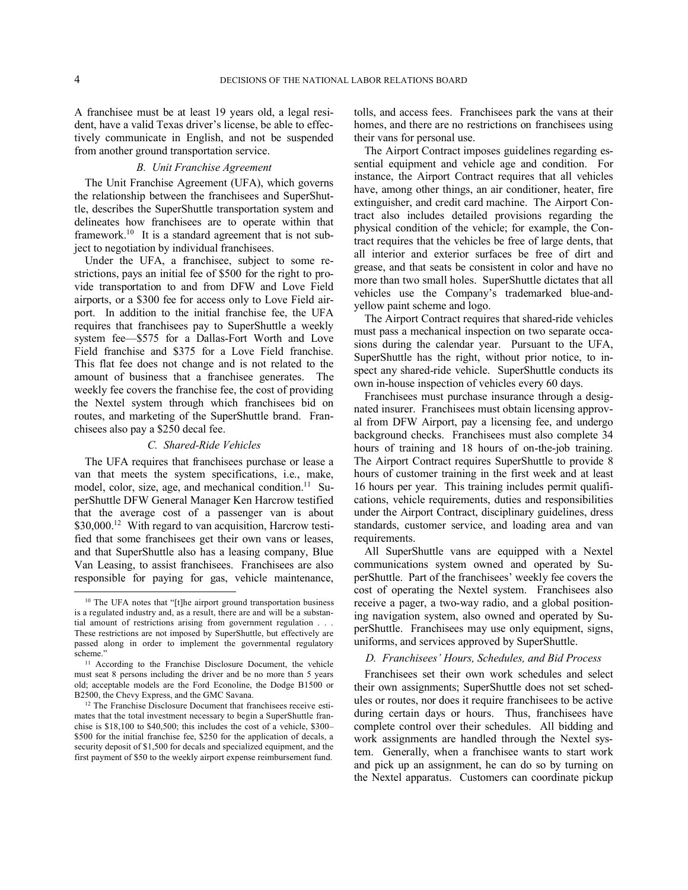-

A franchisee must be at least 19 years old, a legal resident, have a valid Texas driver's license, be able to effectively communicate in English, and not be suspended from another ground transportation service.

### *B. Unit Franchise Agreement*

The Unit Franchise Agreement (UFA), which governs the relationship between the franchisees and SuperShuttle, describes the SuperShuttle transportation system and delineates how franchisees are to operate within that framework.<sup>10</sup> It is a standard agreement that is not subject to negotiation by individual franchisees.

Under the UFA, a franchisee, subject to some restrictions, pays an initial fee of \$500 for the right to provide transportation to and from DFW and Love Field airports, or a \$300 fee for access only to Love Field airport. In addition to the initial franchise fee, the UFA requires that franchisees pay to SuperShuttle a weekly system fee—\$575 for a Dallas-Fort Worth and Love Field franchise and \$375 for a Love Field franchise. This flat fee does not change and is not related to the amount of business that a franchisee generates. The weekly fee covers the franchise fee, the cost of providing the Nextel system through which franchisees bid on routes, and marketing of the SuperShuttle brand. Franchisees also pay a \$250 decal fee.

### *C. Shared-Ride Vehicles*

The UFA requires that franchisees purchase or lease a van that meets the system specifications, i.e., make, model, color, size, age, and mechanical condition.<sup>11</sup> SuperShuttle DFW General Manager Ken Harcrow testified that the average cost of a passenger van is about \$30,000.<sup>12</sup> With regard to van acquisition, Harcrow testified that some franchisees get their own vans or leases, and that SuperShuttle also has a leasing company, Blue Van Leasing, to assist franchisees. Franchisees are also responsible for paying for gas, vehicle maintenance, tolls, and access fees. Franchisees park the vans at their homes, and there are no restrictions on franchisees using their vans for personal use.

The Airport Contract imposes guidelines regarding essential equipment and vehicle age and condition. For instance, the Airport Contract requires that all vehicles have, among other things, an air conditioner, heater, fire extinguisher, and credit card machine. The Airport Contract also includes detailed provisions regarding the physical condition of the vehicle; for example, the Contract requires that the vehicles be free of large dents, that all interior and exterior surfaces be free of dirt and grease, and that seats be consistent in color and have no more than two small holes. SuperShuttle dictates that all vehicles use the Company's trademarked blue-andyellow paint scheme and logo.

The Airport Contract requires that shared-ride vehicles must pass a mechanical inspection on two separate occasions during the calendar year. Pursuant to the UFA, SuperShuttle has the right, without prior notice, to inspect any shared-ride vehicle. SuperShuttle conducts its own in-house inspection of vehicles every 60 days.

Franchisees must purchase insurance through a designated insurer. Franchisees must obtain licensing approval from DFW Airport, pay a licensing fee, and undergo background checks. Franchisees must also complete 34 hours of training and 18 hours of on-the-job training. The Airport Contract requires SuperShuttle to provide 8 hours of customer training in the first week and at least 16 hours per year. This training includes permit qualifications, vehicle requirements, duties and responsibilities under the Airport Contract, disciplinary guidelines, dress standards, customer service, and loading area and van requirements.

All SuperShuttle vans are equipped with a Nextel communications system owned and operated by SuperShuttle. Part of the franchisees' weekly fee covers the cost of operating the Nextel system. Franchisees also receive a pager, a two-way radio, and a global positioning navigation system, also owned and operated by SuperShuttle. Franchisees may use only equipment, signs, uniforms, and services approved by SuperShuttle.

### *D. Franchisees' Hours, Schedules, and Bid Process*

Franchisees set their own work schedules and select their own assignments; SuperShuttle does not set schedules or routes, nor does it require franchisees to be active during certain days or hours. Thus, franchisees have complete control over their schedules. All bidding and work assignments are handled through the Nextel system. Generally, when a franchisee wants to start work and pick up an assignment, he can do so by turning on the Nextel apparatus. Customers can coordinate pickup

<sup>10</sup> The UFA notes that "[t]he airport ground transportation business is a regulated industry and, as a result, there are and will be a substantial amount of restrictions arising from government regulation . . . These restrictions are not imposed by SuperShuttle, but effectively are passed along in order to implement the governmental regulatory scheme."

<sup>&</sup>lt;sup>11</sup> According to the Franchise Disclosure Document, the vehicle must seat 8 persons including the driver and be no more than 5 years old; acceptable models are the Ford Econoline, the Dodge B1500 or B2500, the Chevy Express, and the GMC Savana.

<sup>&</sup>lt;sup>12</sup> The Franchise Disclosure Document that franchisees receive estimates that the total investment necessary to begin a SuperShuttle franchise is \$18,100 to \$40,500; this includes the cost of a vehicle, \$300– \$500 for the initial franchise fee, \$250 for the application of decals, a security deposit of \$1,500 for decals and specialized equipment, and the first payment of \$50 to the weekly airport expense reimbursement fund.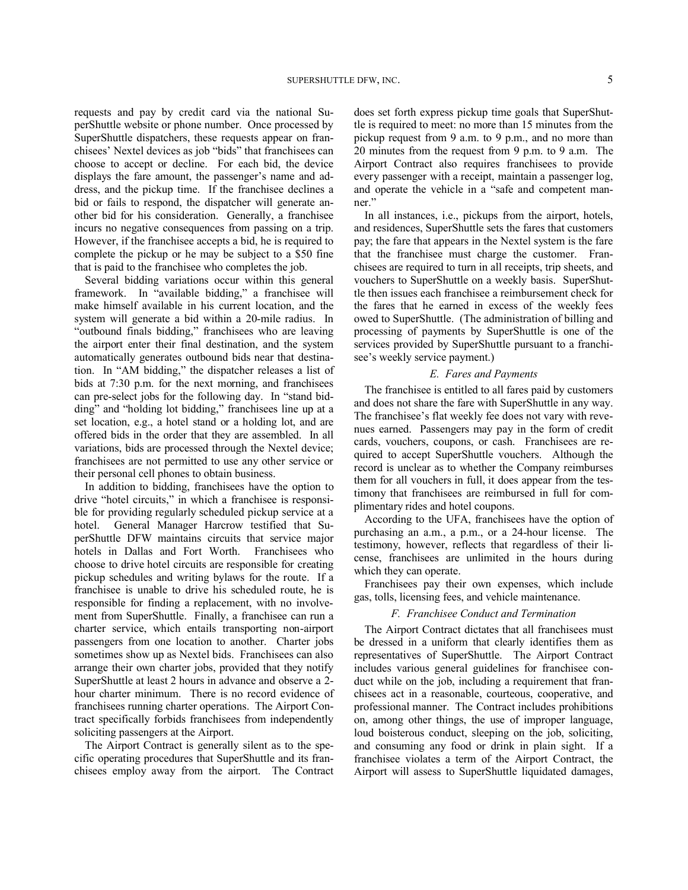requests and pay by credit card via the national SuperShuttle website or phone number. Once processed by SuperShuttle dispatchers, these requests appear on franchisees' Nextel devices as job "bids" that franchisees can choose to accept or decline. For each bid, the device displays the fare amount, the passenger's name and address, and the pickup time. If the franchisee declines a bid or fails to respond, the dispatcher will generate another bid for his consideration. Generally, a franchisee incurs no negative consequences from passing on a trip. However, if the franchisee accepts a bid, he is required to complete the pickup or he may be subject to a \$50 fine that is paid to the franchisee who completes the job.

Several bidding variations occur within this general framework. In "available bidding," a franchisee will make himself available in his current location, and the system will generate a bid within a 20-mile radius. In "outbound finals bidding," franchisees who are leaving the airport enter their final destination, and the system automatically generates outbound bids near that destination. In "AM bidding," the dispatcher releases a list of bids at 7:30 p.m. for the next morning, and franchisees can pre-select jobs for the following day. In "stand bidding" and "holding lot bidding," franchisees line up at a set location, e.g., a hotel stand or a holding lot, and are offered bids in the order that they are assembled. In all variations, bids are processed through the Nextel device; franchisees are not permitted to use any other service or their personal cell phones to obtain business.

In addition to bidding, franchisees have the option to drive "hotel circuits," in which a franchisee is responsible for providing regularly scheduled pickup service at a hotel. General Manager Harcrow testified that SuperShuttle DFW maintains circuits that service major hotels in Dallas and Fort Worth. Franchisees who choose to drive hotel circuits are responsible for creating pickup schedules and writing bylaws for the route. If a franchisee is unable to drive his scheduled route, he is responsible for finding a replacement, with no involvement from SuperShuttle. Finally, a franchisee can run a charter service, which entails transporting non-airport passengers from one location to another. Charter jobs sometimes show up as Nextel bids. Franchisees can also arrange their own charter jobs, provided that they notify SuperShuttle at least 2 hours in advance and observe a 2 hour charter minimum. There is no record evidence of franchisees running charter operations. The Airport Contract specifically forbids franchisees from independently soliciting passengers at the Airport.

The Airport Contract is generally silent as to the specific operating procedures that SuperShuttle and its franchisees employ away from the airport. The Contract does set forth express pickup time goals that SuperShuttle is required to meet: no more than 15 minutes from the pickup request from 9 a.m. to 9 p.m., and no more than 20 minutes from the request from 9 p.m. to 9 a.m. The Airport Contract also requires franchisees to provide every passenger with a receipt, maintain a passenger log, and operate the vehicle in a "safe and competent manner."

In all instances, i.e., pickups from the airport, hotels, and residences, SuperShuttle sets the fares that customers pay; the fare that appears in the Nextel system is the fare that the franchisee must charge the customer. Franchisees are required to turn in all receipts, trip sheets, and vouchers to SuperShuttle on a weekly basis. SuperShuttle then issues each franchisee a reimbursement check for the fares that he earned in excess of the weekly fees owed to SuperShuttle. (The administration of billing and processing of payments by SuperShuttle is one of the services provided by SuperShuttle pursuant to a franchisee's weekly service payment.)

### *E. Fares and Payments*

The franchisee is entitled to all fares paid by customers and does not share the fare with SuperShuttle in any way. The franchisee's flat weekly fee does not vary with revenues earned. Passengers may pay in the form of credit cards, vouchers, coupons, or cash. Franchisees are required to accept SuperShuttle vouchers. Although the record is unclear as to whether the Company reimburses them for all vouchers in full, it does appear from the testimony that franchisees are reimbursed in full for complimentary rides and hotel coupons.

According to the UFA, franchisees have the option of purchasing an a.m., a p.m., or a 24-hour license. The testimony, however, reflects that regardless of their license, franchisees are unlimited in the hours during which they can operate.

Franchisees pay their own expenses, which include gas, tolls, licensing fees, and vehicle maintenance.

#### *F. Franchisee Conduct and Termination*

The Airport Contract dictates that all franchisees must be dressed in a uniform that clearly identifies them as representatives of SuperShuttle. The Airport Contract includes various general guidelines for franchisee conduct while on the job, including a requirement that franchisees act in a reasonable, courteous, cooperative, and professional manner. The Contract includes prohibitions on, among other things, the use of improper language, loud boisterous conduct, sleeping on the job, soliciting, and consuming any food or drink in plain sight. If a franchisee violates a term of the Airport Contract, the Airport will assess to SuperShuttle liquidated damages,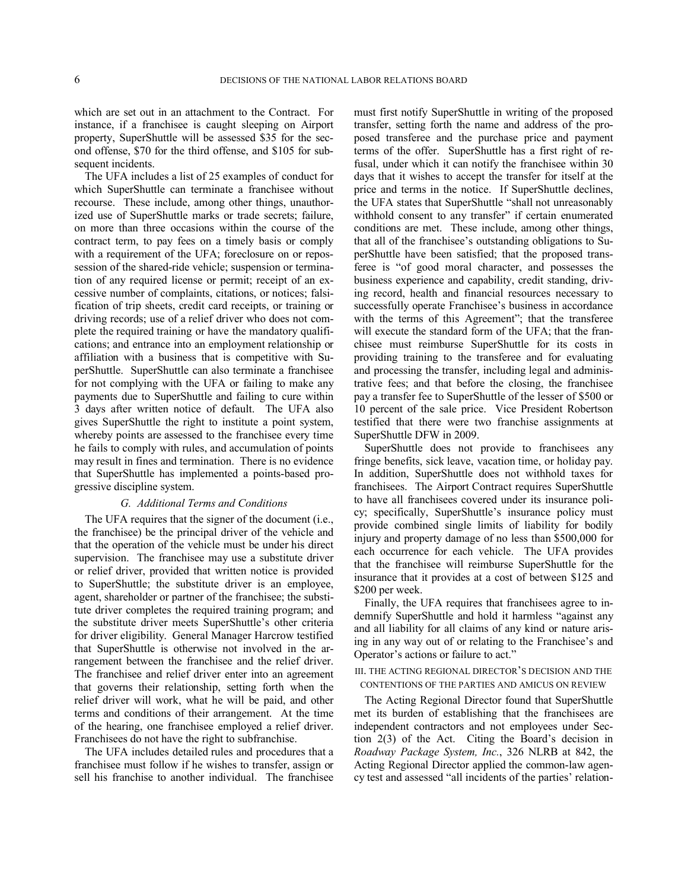which are set out in an attachment to the Contract. For instance, if a franchisee is caught sleeping on Airport property, SuperShuttle will be assessed \$35 for the second offense, \$70 for the third offense, and \$105 for subsequent incidents.

The UFA includes a list of 25 examples of conduct for which SuperShuttle can terminate a franchisee without recourse. These include, among other things, unauthorized use of SuperShuttle marks or trade secrets; failure, on more than three occasions within the course of the contract term, to pay fees on a timely basis or comply with a requirement of the UFA; foreclosure on or repossession of the shared-ride vehicle; suspension or termination of any required license or permit; receipt of an excessive number of complaints, citations, or notices; falsification of trip sheets, credit card receipts, or training or driving records; use of a relief driver who does not complete the required training or have the mandatory qualifications; and entrance into an employment relationship or affiliation with a business that is competitive with SuperShuttle. SuperShuttle can also terminate a franchisee for not complying with the UFA or failing to make any payments due to SuperShuttle and failing to cure within 3 days after written notice of default. The UFA also gives SuperShuttle the right to institute a point system, whereby points are assessed to the franchisee every time he fails to comply with rules, and accumulation of points may result in fines and termination. There is no evidence that SuperShuttle has implemented a points-based progressive discipline system.

### *G. Additional Terms and Conditions*

The UFA requires that the signer of the document (i.e., the franchisee) be the principal driver of the vehicle and that the operation of the vehicle must be under his direct supervision. The franchisee may use a substitute driver or relief driver, provided that written notice is provided to SuperShuttle; the substitute driver is an employee, agent, shareholder or partner of the franchisee; the substitute driver completes the required training program; and the substitute driver meets SuperShuttle's other criteria for driver eligibility. General Manager Harcrow testified that SuperShuttle is otherwise not involved in the arrangement between the franchisee and the relief driver. The franchisee and relief driver enter into an agreement that governs their relationship, setting forth when the relief driver will work, what he will be paid, and other terms and conditions of their arrangement. At the time of the hearing, one franchisee employed a relief driver. Franchisees do not have the right to subfranchise.

The UFA includes detailed rules and procedures that a franchisee must follow if he wishes to transfer, assign or sell his franchise to another individual. The franchisee must first notify SuperShuttle in writing of the proposed transfer, setting forth the name and address of the proposed transferee and the purchase price and payment terms of the offer. SuperShuttle has a first right of refusal, under which it can notify the franchisee within 30 days that it wishes to accept the transfer for itself at the price and terms in the notice. If SuperShuttle declines, the UFA states that SuperShuttle "shall not unreasonably withhold consent to any transfer" if certain enumerated conditions are met. These include, among other things, that all of the franchisee's outstanding obligations to SuperShuttle have been satisfied; that the proposed transferee is "of good moral character, and possesses the business experience and capability, credit standing, driving record, health and financial resources necessary to successfully operate Franchisee's business in accordance with the terms of this Agreement"; that the transferee will execute the standard form of the UFA; that the franchisee must reimburse SuperShuttle for its costs in providing training to the transferee and for evaluating and processing the transfer, including legal and administrative fees; and that before the closing, the franchisee pay a transfer fee to SuperShuttle of the lesser of \$500 or 10 percent of the sale price. Vice President Robertson testified that there were two franchise assignments at SuperShuttle DFW in 2009.

SuperShuttle does not provide to franchisees any fringe benefits, sick leave, vacation time, or holiday pay. In addition, SuperShuttle does not withhold taxes for franchisees. The Airport Contract requires SuperShuttle to have all franchisees covered under its insurance policy; specifically, SuperShuttle's insurance policy must provide combined single limits of liability for bodily injury and property damage of no less than \$500,000 for each occurrence for each vehicle. The UFA provides that the franchisee will reimburse SuperShuttle for the insurance that it provides at a cost of between \$125 and \$200 per week.

Finally, the UFA requires that franchisees agree to indemnify SuperShuttle and hold it harmless "against any and all liability for all claims of any kind or nature arising in any way out of or relating to the Franchisee's and Operator's actions or failure to act."

### III. THE ACTING REGIONAL DIRECTOR'S DECISION AND THE CONTENTIONS OF THE PARTIES AND AMICUS ON REVIEW

The Acting Regional Director found that SuperShuttle met its burden of establishing that the franchisees are independent contractors and not employees under Section 2(3) of the Act. Citing the Board's decision in *Roadway Package System, Inc.*, 326 NLRB at 842, the Acting Regional Director applied the common-law agency test and assessed "all incidents of the parties' relation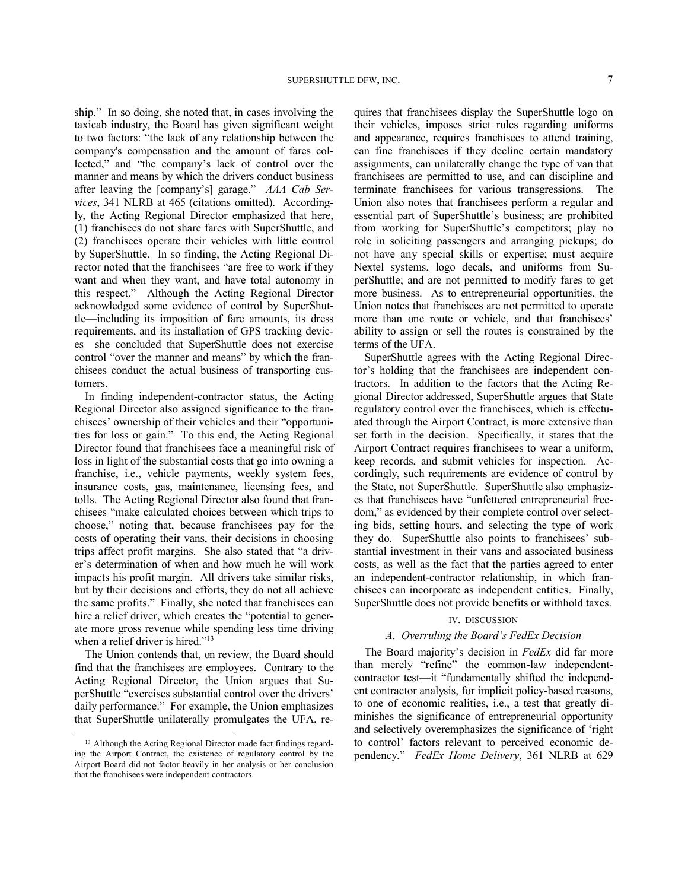ship." In so doing, she noted that, in cases involving the taxicab industry, the Board has given significant weight to two factors: "the lack of any relationship between the company's compensation and the amount of fares collected," and "the company's lack of control over the manner and means by which the drivers conduct business after leaving the [company's] garage." *AAA Cab Services*, 341 NLRB at 465 (citations omitted). Accordingly, the Acting Regional Director emphasized that here, (1) franchisees do not share fares with SuperShuttle, and (2) franchisees operate their vehicles with little control by SuperShuttle. In so finding, the Acting Regional Director noted that the franchisees "are free to work if they want and when they want, and have total autonomy in this respect." Although the Acting Regional Director acknowledged some evidence of control by SuperShuttle—including its imposition of fare amounts, its dress requirements, and its installation of GPS tracking devices—she concluded that SuperShuttle does not exercise control "over the manner and means" by which the franchisees conduct the actual business of transporting customers.

In finding independent-contractor status, the Acting Regional Director also assigned significance to the franchisees' ownership of their vehicles and their "opportunities for loss or gain." To this end, the Acting Regional Director found that franchisees face a meaningful risk of loss in light of the substantial costs that go into owning a franchise, i.e., vehicle payments, weekly system fees, insurance costs, gas, maintenance, licensing fees, and tolls. The Acting Regional Director also found that franchisees "make calculated choices between which trips to choose," noting that, because franchisees pay for the costs of operating their vans, their decisions in choosing trips affect profit margins. She also stated that "a driver's determination of when and how much he will work impacts his profit margin. All drivers take similar risks, but by their decisions and efforts, they do not all achieve the same profits." Finally, she noted that franchisees can hire a relief driver, which creates the "potential to generate more gross revenue while spending less time driving when a relief driver is hired."<sup>13</sup>

The Union contends that, on review, the Board should find that the franchisees are employees. Contrary to the Acting Regional Director, the Union argues that SuperShuttle "exercises substantial control over the drivers' daily performance." For example, the Union emphasizes that SuperShuttle unilaterally promulgates the UFA, re-

-

quires that franchisees display the SuperShuttle logo on their vehicles, imposes strict rules regarding uniforms and appearance, requires franchisees to attend training, can fine franchisees if they decline certain mandatory assignments, can unilaterally change the type of van that franchisees are permitted to use, and can discipline and terminate franchisees for various transgressions. The Union also notes that franchisees perform a regular and essential part of SuperShuttle's business; are prohibited from working for SuperShuttle's competitors; play no role in soliciting passengers and arranging pickups; do not have any special skills or expertise; must acquire Nextel systems, logo decals, and uniforms from SuperShuttle; and are not permitted to modify fares to get more business. As to entrepreneurial opportunities, the Union notes that franchisees are not permitted to operate more than one route or vehicle, and that franchisees' ability to assign or sell the routes is constrained by the terms of the UFA.

SuperShuttle agrees with the Acting Regional Director's holding that the franchisees are independent contractors. In addition to the factors that the Acting Regional Director addressed, SuperShuttle argues that State regulatory control over the franchisees, which is effectuated through the Airport Contract, is more extensive than set forth in the decision. Specifically, it states that the Airport Contract requires franchisees to wear a uniform, keep records, and submit vehicles for inspection. Accordingly, such requirements are evidence of control by the State, not SuperShuttle. SuperShuttle also emphasizes that franchisees have "unfettered entrepreneurial freedom," as evidenced by their complete control over selecting bids, setting hours, and selecting the type of work they do. SuperShuttle also points to franchisees' substantial investment in their vans and associated business costs, as well as the fact that the parties agreed to enter an independent-contractor relationship, in which franchisees can incorporate as independent entities. Finally, SuperShuttle does not provide benefits or withhold taxes.

### IV. DISCUSSION

## *A. Overruling the Board's FedEx Decision*

The Board majority's decision in *FedEx* did far more than merely "refine" the common-law independentcontractor test—it "fundamentally shifted the independent contractor analysis, for implicit policy-based reasons, to one of economic realities, i.e., a test that greatly diminishes the significance of entrepreneurial opportunity and selectively overemphasizes the significance of 'right to control' factors relevant to perceived economic dependency." *FedEx Home Delivery*, 361 NLRB at 629

<sup>&</sup>lt;sup>13</sup> Although the Acting Regional Director made fact findings regarding the Airport Contract, the existence of regulatory control by the Airport Board did not factor heavily in her analysis or her conclusion that the franchisees were independent contractors.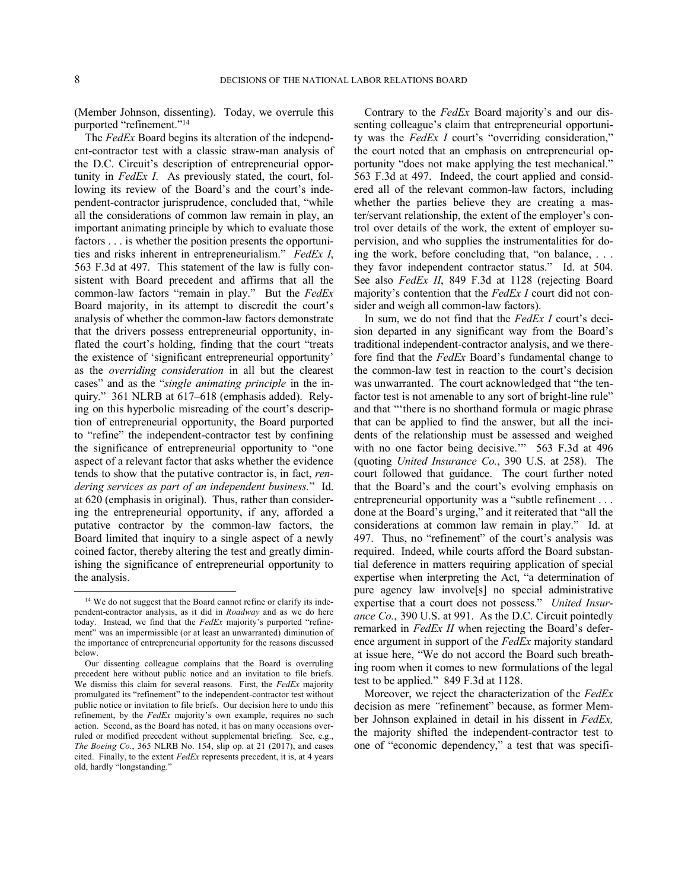-

(Member Johnson, dissenting). Today, we overrule this purported "refinement."<sup>14</sup>

The *FedEx* Board begins its alteration of the independent-contractor test with a classic straw-man analysis of the D.C. Circuit's description of entrepreneurial opportunity in *FedEx I*. As previously stated, the court, following its review of the Board's and the court's independent-contractor jurisprudence, concluded that, "while all the considerations of common law remain in play, an important animating principle by which to evaluate those factors . . . is whether the position presents the opportunities and risks inherent in entrepreneurialism." *FedEx I*, 563 F.3d at 497. This statement of the law is fully consistent with Board precedent and affirms that all the common-law factors "remain in play." But the *FedEx*  Board majority, in its attempt to discredit the court's analysis of whether the common-law factors demonstrate that the drivers possess entrepreneurial opportunity, inflated the court's holding, finding that the court "treats the existence of 'significant entrepreneurial opportunity' as the *overriding consideration* in all but the clearest cases" and as the "*single animating principle* in the inquiry." 361 NLRB at 617–618 (emphasis added). Relying on this hyperbolic misreading of the court's description of entrepreneurial opportunity, the Board purported to "refine" the independent-contractor test by confining the significance of entrepreneurial opportunity to "one aspect of a relevant factor that asks whether the evidence tends to show that the putative contractor is, in fact, *rendering services as part of an independent business.*" Id. at 620 (emphasis in original). Thus, rather than considering the entrepreneurial opportunity, if any, afforded a putative contractor by the common-law factors, the Board limited that inquiry to a single aspect of a newly coined factor, thereby altering the test and greatly diminishing the significance of entrepreneurial opportunity to the analysis.

Contrary to the *FedEx* Board majority's and our dissenting colleague's claim that entrepreneurial opportunity was the *FedEx I* court's "overriding consideration," the court noted that an emphasis on entrepreneurial opportunity "does not make applying the test mechanical." 563 F.3d at 497. Indeed, the court applied and considered all of the relevant common-law factors, including whether the parties believe they are creating a master/servant relationship, the extent of the employer's control over details of the work, the extent of employer supervision, and who supplies the instrumentalities for doing the work, before concluding that, "on balance, . . . they favor independent contractor status." Id. at 504. See also *FedEx II*, 849 F.3d at 1128 (rejecting Board majority's contention that the *FedEx I* court did not consider and weigh all common-law factors).

In sum, we do not find that the *FedEx I* court's decision departed in any significant way from the Board's traditional independent-contractor analysis, and we therefore find that the *FedEx* Board's fundamental change to the common-law test in reaction to the court's decision was unwarranted. The court acknowledged that "the tenfactor test is not amenable to any sort of bright-line rule" and that "'there is no shorthand formula or magic phrase that can be applied to find the answer, but all the incidents of the relationship must be assessed and weighed with no one factor being decisive." 563 F.3d at 496 (quoting *United Insurance Co.*, 390 U.S. at 258). The court followed that guidance. The court further noted that the Board's and the court's evolving emphasis on entrepreneurial opportunity was a "subtle refinement . . . done at the Board's urging," and it reiterated that "all the considerations at common law remain in play." Id. at 497. Thus, no "refinement" of the court's analysis was required. Indeed, while courts afford the Board substantial deference in matters requiring application of special expertise when interpreting the Act, "a determination of pure agency law involve[s] no special administrative expertise that a court does not possess." *United Insurance Co.*, 390 U.S. at 991. As the D.C. Circuit pointedly remarked in *FedEx II* when rejecting the Board's deference argument in support of the *FedEx* majority standard at issue here, "We do not accord the Board such breathing room when it comes to new formulations of the legal test to be applied." 849 F.3d at 1128.

Moreover, we reject the characterization of the *FedEx*  decision as mere *"*refinement" because, as former Member Johnson explained in detail in his dissent in *FedEx,* the majority shifted the independent-contractor test to one of "economic dependency," a test that was specifi-

<sup>&</sup>lt;sup>14</sup> We do not suggest that the Board cannot refine or clarify its independent-contractor analysis, as it did in *Roadway* and as we do here today. Instead, we find that the *FedEx* majority's purported "refinement" was an impermissible (or at least an unwarranted) diminution of the importance of entrepreneurial opportunity for the reasons discussed below.

Our dissenting colleague complains that the Board is overruling precedent here without public notice and an invitation to file briefs. We dismiss this claim for several reasons. First, the *FedEx* majority promulgated its "refinement" to the independent-contractor test without public notice or invitation to file briefs. Our decision here to undo this refinement, by the *FedEx* majority's own example, requires no such action. Second, as the Board has noted, it has on many occasions overruled or modified precedent without supplemental briefing. See, e.g., *The Boeing Co.*, 365 NLRB No. 154, slip op. at 21 (2017), and cases cited. Finally, to the extent *FedEx* represents precedent, it is, at 4 years old, hardly "longstanding."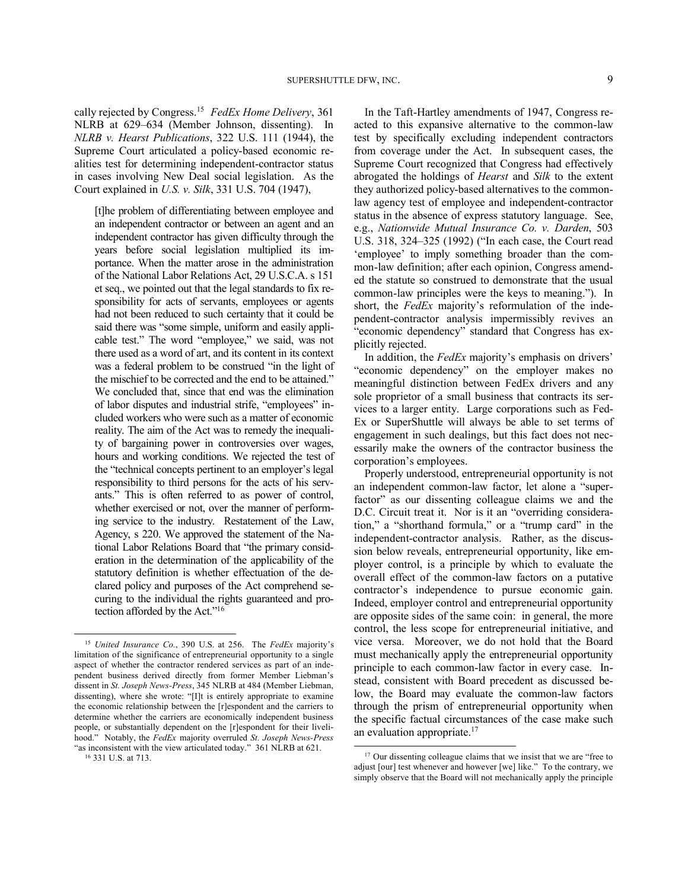cally rejected by Congress.<sup>15</sup> *FedEx Home Delivery*, 361 NLRB at 629–634 (Member Johnson, dissenting). In *NLRB v. Hearst Publications*, 322 U.S. 111 (1944), the Supreme Court articulated a policy-based economic realities test for determining independent-contractor status in cases involving New Deal social legislation. As the Court explained in *U.S. v. Silk*, 331 U.S. 704 (1947),

[t]he problem of differentiating between employee and an independent contractor or between an agent and an independent contractor has given difficulty through the years before social legislation multiplied its importance. When the matter arose in the administration of the National Labor Relations Act, 29 U.S.C.A. s 151 et seq., we pointed out that the legal standards to fix responsibility for acts of servants, employees or agents had not been reduced to such certainty that it could be said there was "some simple, uniform and easily applicable test." The word "employee," we said, was not there used as a word of art, and its content in its context was a federal problem to be construed "in the light of the mischief to be corrected and the end to be attained." We concluded that, since that end was the elimination of labor disputes and industrial strife, "employees" included workers who were such as a matter of economic reality. The aim of the Act was to remedy the inequality of bargaining power in controversies over wages, hours and working conditions. We rejected the test of the "technical concepts pertinent to an employer's legal responsibility to third persons for the acts of his servants." This is often referred to as power of control, whether exercised or not, over the manner of performing service to the industry. Restatement of the Law, Agency, s 220. We approved the statement of the National Labor Relations Board that "the primary consideration in the determination of the applicability of the statutory definition is whether effectuation of the declared policy and purposes of the Act comprehend securing to the individual the rights guaranteed and protection afforded by the Act."<sup>16</sup>

In the Taft-Hartley amendments of 1947, Congress reacted to this expansive alternative to the common-law test by specifically excluding independent contractors from coverage under the Act. In subsequent cases, the Supreme Court recognized that Congress had effectively abrogated the holdings of *Hearst* and *Silk* to the extent they authorized policy-based alternatives to the commonlaw agency test of employee and independent-contractor status in the absence of express statutory language. See, e.g., *Nationwide Mutual Insurance Co. v. Darden*, 503 U.S. 318, 324–325 (1992) ("In each case, the Court read 'employee' to imply something broader than the common-law definition; after each opinion, Congress amended the statute so construed to demonstrate that the usual common-law principles were the keys to meaning."). In short, the *FedEx* majority's reformulation of the independent-contractor analysis impermissibly revives an "economic dependency" standard that Congress has explicitly rejected.

In addition, the *FedEx* majority's emphasis on drivers' "economic dependency" on the employer makes no meaningful distinction between FedEx drivers and any sole proprietor of a small business that contracts its services to a larger entity. Large corporations such as Fed-Ex or SuperShuttle will always be able to set terms of engagement in such dealings, but this fact does not necessarily make the owners of the contractor business the corporation's employees.

Properly understood, entrepreneurial opportunity is not an independent common-law factor, let alone a "superfactor" as our dissenting colleague claims we and the D.C. Circuit treat it. Nor is it an "overriding consideration," a "shorthand formula," or a "trump card" in the independent-contractor analysis. Rather, as the discussion below reveals, entrepreneurial opportunity, like employer control, is a principle by which to evaluate the overall effect of the common-law factors on a putative contractor's independence to pursue economic gain. Indeed, employer control and entrepreneurial opportunity are opposite sides of the same coin: in general, the more control, the less scope for entrepreneurial initiative, and vice versa. Moreover, we do not hold that the Board must mechanically apply the entrepreneurial opportunity principle to each common-law factor in every case. Instead, consistent with Board precedent as discussed below, the Board may evaluate the common-law factors through the prism of entrepreneurial opportunity when the specific factual circumstances of the case make such an evaluation appropriate.<sup>17</sup>

l

<sup>-</sup><sup>15</sup> *United Insurance Co.*, 390 U.S. at 256. The *FedEx* majority's limitation of the significance of entrepreneurial opportunity to a single aspect of whether the contractor rendered services as part of an independent business derived directly from former Member Liebman's dissent in *St. Joseph News-Press*, 345 NLRB at 484 (Member Liebman, dissenting), where she wrote: "[I]t is entirely appropriate to examine the economic relationship between the [r]espondent and the carriers to determine whether the carriers are economically independent business people, or substantially dependent on the [r]espondent for their livelihood." Notably, the *FedEx* majority overruled *St. Joseph News-Press* "as inconsistent with the view articulated today." 361 NLRB at 621.

<sup>16</sup> 331 U.S. at 713.

<sup>&</sup>lt;sup>17</sup> Our dissenting colleague claims that we insist that we are "free to adjust [our] test whenever and however [we] like." To the contrary, we simply observe that the Board will not mechanically apply the principle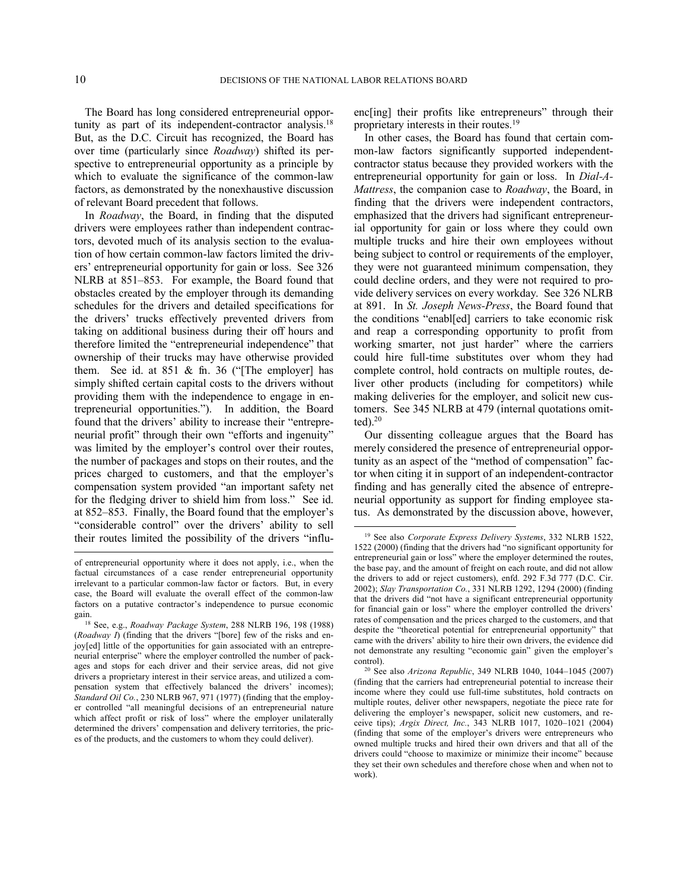l

The Board has long considered entrepreneurial opportunity as part of its independent-contractor analysis.<sup>18</sup> But, as the D.C. Circuit has recognized, the Board has over time (particularly since *Roadway*) shifted its perspective to entrepreneurial opportunity as a principle by which to evaluate the significance of the common-law factors, as demonstrated by the nonexhaustive discussion of relevant Board precedent that follows.

In *Roadway*, the Board, in finding that the disputed drivers were employees rather than independent contractors, devoted much of its analysis section to the evaluation of how certain common-law factors limited the drivers' entrepreneurial opportunity for gain or loss. See 326 NLRB at 851–853.For example, the Board found that obstacles created by the employer through its demanding schedules for the drivers and detailed specifications for the drivers' trucks effectively prevented drivers from taking on additional business during their off hours and therefore limited the "entrepreneurial independence" that ownership of their trucks may have otherwise provided them. See id. at 851 & fn. 36 ("[The employer] has simply shifted certain capital costs to the drivers without providing them with the independence to engage in entrepreneurial opportunities."). In addition, the Board found that the drivers' ability to increase their "entrepreneurial profit" through their own "efforts and ingenuity" was limited by the employer's control over their routes, the number of packages and stops on their routes, and the prices charged to customers, and that the employer's compensation system provided "an important safety net for the fledging driver to shield him from loss." See id. at 852–853. Finally, the Board found that the employer's "considerable control" over the drivers' ability to sell their routes limited the possibility of the drivers "influenc[ing] their profits like entrepreneurs" through their proprietary interests in their routes.<sup>19</sup>

In other cases, the Board has found that certain common-law factors significantly supported independentcontractor status because they provided workers with the entrepreneurial opportunity for gain or loss. In *Dial-A-Mattress*, the companion case to *Roadway*, the Board, in finding that the drivers were independent contractors, emphasized that the drivers had significant entrepreneurial opportunity for gain or loss where they could own multiple trucks and hire their own employees without being subject to control or requirements of the employer, they were not guaranteed minimum compensation, they could decline orders, and they were not required to provide delivery services on every workday. See 326 NLRB at 891. In *St. Joseph News-Press*, the Board found that the conditions "enabl[ed] carriers to take economic risk and reap a corresponding opportunity to profit from working smarter, not just harder" where the carriers could hire full-time substitutes over whom they had complete control, hold contracts on multiple routes, deliver other products (including for competitors) while making deliveries for the employer, and solicit new customers. See 345 NLRB at 479 (internal quotations omit $ted$ ). $20$ 

Our dissenting colleague argues that the Board has merely considered the presence of entrepreneurial opportunity as an aspect of the "method of compensation" factor when citing it in support of an independent-contractor finding and has generally cited the absence of entrepreneurial opportunity as support for finding employee status. As demonstrated by the discussion above, however,

of entrepreneurial opportunity where it does not apply, i.e., when the factual circumstances of a case render entrepreneurial opportunity irrelevant to a particular common-law factor or factors. But, in every case, the Board will evaluate the overall effect of the common-law factors on a putative contractor's independence to pursue economic gain.

<sup>18</sup> See, e.g., *Roadway Package System*, 288 NLRB 196, 198 (1988) (*Roadway I*) (finding that the drivers "[bore] few of the risks and enjoy[ed] little of the opportunities for gain associated with an entrepreneurial enterprise" where the employer controlled the number of packages and stops for each driver and their service areas, did not give drivers a proprietary interest in their service areas, and utilized a compensation system that effectively balanced the drivers' incomes); *Standard Oil Co.*, 230 NLRB 967, 971 (1977) (finding that the employer controlled "all meaningful decisions of an entrepreneurial nature which affect profit or risk of loss" where the employer unilaterally determined the drivers' compensation and delivery territories, the prices of the products, and the customers to whom they could deliver).

<sup>19</sup> See also *Corporate Express Delivery Systems*, 332 NLRB 1522, 1522 (2000) (finding that the drivers had "no significant opportunity for entrepreneurial gain or loss" where the employer determined the routes, the base pay, and the amount of freight on each route, and did not allow the drivers to add or reject customers), enfd. 292 F.3d 777 (D.C. Cir. 2002); *Slay Transportation Co.*, 331 NLRB 1292, 1294 (2000) (finding that the drivers did "not have a significant entrepreneurial opportunity for financial gain or loss" where the employer controlled the drivers' rates of compensation and the prices charged to the customers, and that despite the "theoretical potential for entrepreneurial opportunity" that came with the drivers' ability to hire their own drivers, the evidence did not demonstrate any resulting "economic gain" given the employer's control).

<sup>20</sup> See also *Arizona Republic*, 349 NLRB 1040, 1044–1045 (2007) (finding that the carriers had entrepreneurial potential to increase their income where they could use full-time substitutes, hold contracts on multiple routes, deliver other newspapers, negotiate the piece rate for delivering the employer's newspaper, solicit new customers, and receive tips); *Argix Direct, Inc.*, 343 NLRB 1017, 1020–1021 (2004) (finding that some of the employer's drivers were entrepreneurs who owned multiple trucks and hired their own drivers and that all of the drivers could "choose to maximize or minimize their income" because they set their own schedules and therefore chose when and when not to work).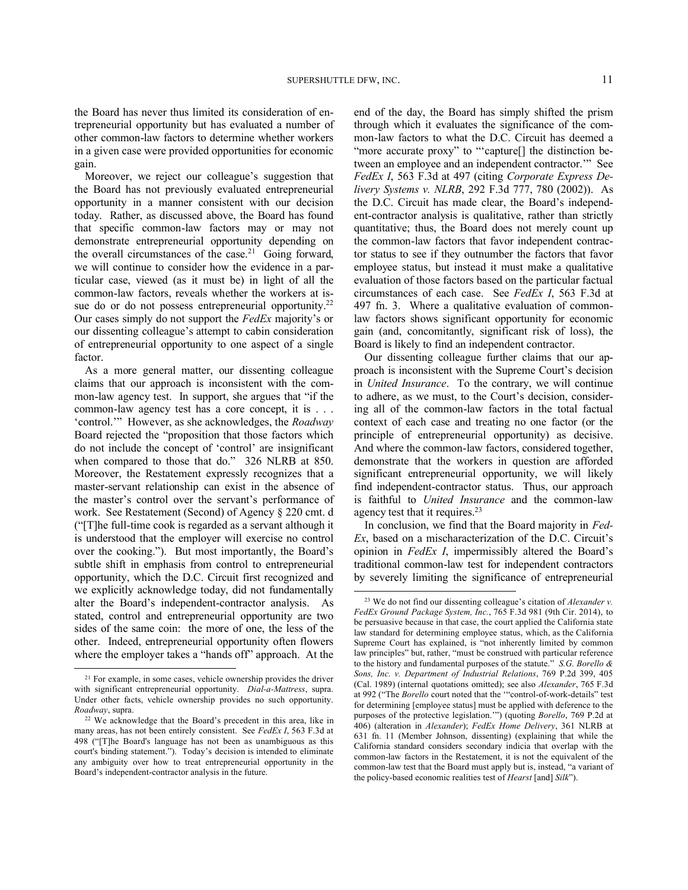the Board has never thus limited its consideration of entrepreneurial opportunity but has evaluated a number of other common-law factors to determine whether workers in a given case were provided opportunities for economic gain.

Moreover, we reject our colleague's suggestion that the Board has not previously evaluated entrepreneurial opportunity in a manner consistent with our decision today. Rather, as discussed above, the Board has found that specific common-law factors may or may not demonstrate entrepreneurial opportunity depending on the overall circumstances of the case.<sup>21</sup> Going forward, we will continue to consider how the evidence in a particular case, viewed (as it must be) in light of all the common-law factors, reveals whether the workers at issue do or do not possess entrepreneurial opportunity.<sup>22</sup> Our cases simply do not support the *FedEx* majority's or our dissenting colleague's attempt to cabin consideration of entrepreneurial opportunity to one aspect of a single factor.

As a more general matter, our dissenting colleague claims that our approach is inconsistent with the common-law agency test. In support, she argues that "if the common-law agency test has a core concept, it is . . . 'control.'" However, as she acknowledges, the *Roadway* Board rejected the "proposition that those factors which do not include the concept of 'control' are insignificant when compared to those that do." 326 NLRB at 850. Moreover, the Restatement expressly recognizes that a master-servant relationship can exist in the absence of the master's control over the servant's performance of work. See Restatement (Second) of Agency § 220 cmt. d ("[T]he full-time cook is regarded as a servant although it is understood that the employer will exercise no control over the cooking."). But most importantly, the Board's subtle shift in emphasis from control to entrepreneurial opportunity, which the D.C. Circuit first recognized and we explicitly acknowledge today, did not fundamentally alter the Board's independent-contractor analysis. As stated, control and entrepreneurial opportunity are two sides of the same coin: the more of one, the less of the other. Indeed, entrepreneurial opportunity often flowers where the employer takes a "hands off" approach. At the

-

end of the day, the Board has simply shifted the prism through which it evaluates the significance of the common-law factors to what the D.C. Circuit has deemed a "more accurate proxy" to "'capture<sup>[]</sup> the distinction between an employee and an independent contractor.'" See *FedEx I*, 563 F.3d at 497 (citing *Corporate Express Delivery Systems v. NLRB*, 292 F.3d 777, 780 (2002)). As the D.C. Circuit has made clear, the Board's independent-contractor analysis is qualitative, rather than strictly quantitative; thus, the Board does not merely count up the common-law factors that favor independent contractor status to see if they outnumber the factors that favor employee status, but instead it must make a qualitative evaluation of those factors based on the particular factual circumstances of each case. See *FedEx I*, 563 F.3d at 497 fn. 3. Where a qualitative evaluation of commonlaw factors shows significant opportunity for economic gain (and, concomitantly, significant risk of loss), the Board is likely to find an independent contractor.

Our dissenting colleague further claims that our approach is inconsistent with the Supreme Court's decision in *United Insurance*. To the contrary, we will continue to adhere, as we must, to the Court's decision, considering all of the common-law factors in the total factual context of each case and treating no one factor (or the principle of entrepreneurial opportunity) as decisive. And where the common-law factors, considered together, demonstrate that the workers in question are afforded significant entrepreneurial opportunity, we will likely find independent-contractor status. Thus, our approach is faithful to *United Insurance* and the common-law agency test that it requires.<sup>23</sup>

In conclusion, we find that the Board majority in *Fed-Ex*, based on a mischaracterization of the D.C. Circuit's opinion in *FedEx I*, impermissibly altered the Board's traditional common-law test for independent contractors by severely limiting the significance of entrepreneurial

 $21$  For example, in some cases, vehicle ownership provides the driver with significant entrepreneurial opportunity. *Dial-a-Mattress*, supra. Under other facts, vehicle ownership provides no such opportunity. *Roadway*, supra.

<sup>22</sup> We acknowledge that the Board's precedent in this area, like in many areas, has not been entirely consistent. See *FedEx I*, 563 F.3d at 498 ("[T]he Board's language has not been as unambiguous as this court's binding statement."). Today's decision is intended to eliminate any ambiguity over how to treat entrepreneurial opportunity in the Board's independent-contractor analysis in the future.

<sup>23</sup> We do not find our dissenting colleague's citation of *Alexander v. FedEx Ground Package System, Inc.*, 765 F.3d 981 (9th Cir. 2014), to be persuasive because in that case, the court applied the California state law standard for determining employee status, which, as the California Supreme Court has explained, is "not inherently limited by common law principles" but, rather, "must be construed with particular reference to the history and fundamental purposes of the statute." *S.G. Borello & Sons, Inc. v. Department of Industrial Relations*, 769 P.2d 399, 405 (Cal. 1989) (internal quotations omitted); see also *Alexander*, 765 F.3d at 992 ("The *Borello* court noted that the '"control-of-work-details" test for determining [employee status] must be applied with deference to the purposes of the protective legislation.'") (quoting *Borello*, 769 P.2d at 406) (alteration in *Alexander*); *FedEx Home Delivery*, 361 NLRB at 631 fn. 11 (Member Johnson, dissenting) (explaining that while the California standard considers secondary indicia that overlap with the common-law factors in the Restatement, it is not the equivalent of the common-law test that the Board must apply but is, instead, "a variant of the policy-based economic realities test of *Hearst* [and] *Silk*").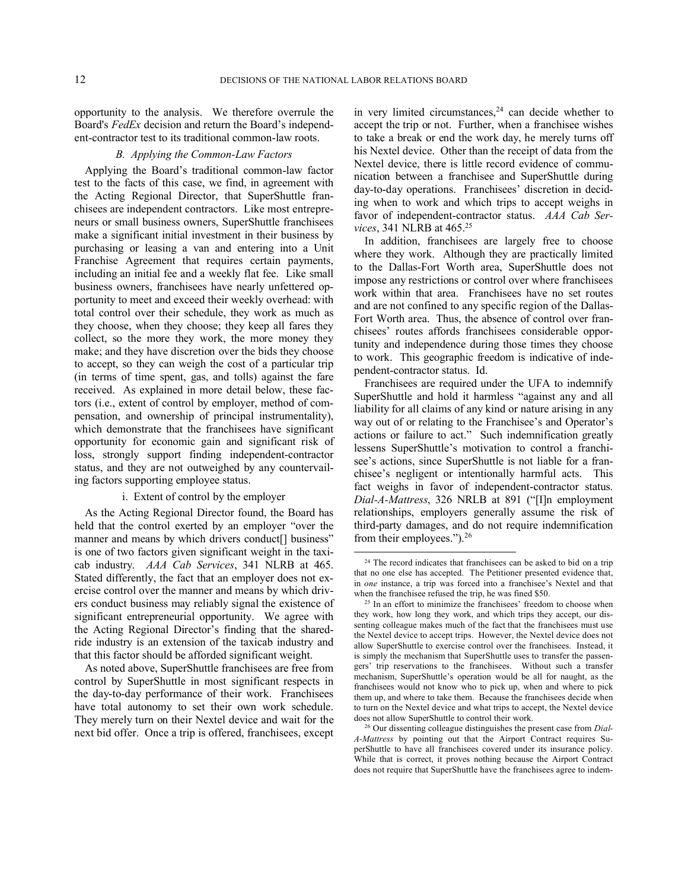opportunity to the analysis. We therefore overrule the Board's *FedEx* decision and return the Board's independent-contractor test to its traditional common-law roots.

### *B. Applying the Common-Law Factors*

Applying the Board's traditional common-law factor test to the facts of this case, we find, in agreement with the Acting Regional Director, that SuperShuttle franchisees are independent contractors. Like most entrepreneurs or small business owners, SuperShuttle franchisees make a significant initial investment in their business by purchasing or leasing a van and entering into a Unit Franchise Agreement that requires certain payments, including an initial fee and a weekly flat fee. Like small business owners, franchisees have nearly unfettered opportunity to meet and exceed their weekly overhead: with total control over their schedule, they work as much as they choose, when they choose; they keep all fares they collect, so the more they work, the more money they make; and they have discretion over the bids they choose to accept, so they can weigh the cost of a particular trip (in terms of time spent, gas, and tolls) against the fare received. As explained in more detail below, these factors (i.e., extent of control by employer, method of compensation, and ownership of principal instrumentality), which demonstrate that the franchisees have significant opportunity for economic gain and significant risk of loss, strongly support finding independent-contractor status, and they are not outweighed by any countervailing factors supporting employee status.

## i. Extent of control by the employer

As the Acting Regional Director found, the Board has held that the control exerted by an employer "over the manner and means by which drivers conduct<sup>[]</sup> business" is one of two factors given significant weight in the taxicab industry. *AAA Cab Services*, 341 NLRB at 465. Stated differently, the fact that an employer does not exercise control over the manner and means by which drivers conduct business may reliably signal the existence of significant entrepreneurial opportunity. We agree with the Acting Regional Director's finding that the sharedride industry is an extension of the taxicab industry and that this factor should be afforded significant weight.

As noted above, SuperShuttle franchisees are free from control by SuperShuttle in most significant respects in the day-to-day performance of their work. Franchisees have total autonomy to set their own work schedule. They merely turn on their Nextel device and wait for the next bid offer. Once a trip is offered, franchisees, except

in very limited circumstances, $24$  can decide whether to accept the trip or not. Further, when a franchisee wishes to take a break or end the work day, he merely turns off his Nextel device. Other than the receipt of data from the Nextel device, there is little record evidence of communication between a franchisee and SuperShuttle during day-to-day operations. Franchisees' discretion in deciding when to work and which trips to accept weighs in favor of independent-contractor status. *AAA Cab Services*, 341 NLRB at 465.<sup>25</sup>

In addition, franchisees are largely free to choose where they work. Although they are practically limited to the Dallas-Fort Worth area, SuperShuttle does not impose any restrictions or control over where franchisees work within that area. Franchisees have no set routes and are not confined to any specific region of the Dallas-Fort Worth area. Thus, the absence of control over franchisees' routes affords franchisees considerable opportunity and independence during those times they choose to work. This geographic freedom is indicative of independent-contractor status. Id.

Franchisees are required under the UFA to indemnify SuperShuttle and hold it harmless "against any and all liability for all claims of any kind or nature arising in any way out of or relating to the Franchisee's and Operator's actions or failure to act." Such indemnification greatly lessens SuperShuttle's motivation to control a franchisee's actions, since SuperShuttle is not liable for a franchisee's negligent or intentionally harmful acts. This fact weighs in favor of independent-contractor status. *Dial-A-Mattress*, 326 NRLB at 891 ("[I]n employment relationships, employers generally assume the risk of third-party damages, and do not require indemnification from their employees.").<sup>26</sup>

<sup>&</sup>lt;sup>24</sup> The record indicates that franchisees can be asked to bid on a trip that no one else has accepted. The Petitioner presented evidence that, in *one* instance, a trip was forced into a franchisee's Nextel and that when the franchisee refused the trip, he was fined \$50.

<sup>&</sup>lt;sup>25</sup> In an effort to minimize the franchisees' freedom to choose when they work, how long they work, and which trips they accept, our dissenting colleague makes much of the fact that the franchisees must use the Nextel device to accept trips. However, the Nextel device does not allow SuperShuttle to exercise control over the franchisees. Instead, it is simply the mechanism that SuperShuttle uses to transfer the passengers' trip reservations to the franchisees. Without such a transfer mechanism, SuperShuttle's operation would be all for naught, as the franchisees would not know who to pick up, when and where to pick them up, and where to take them. Because the franchisees decide when to turn on the Nextel device and what trips to accept, the Nextel device does not allow SuperShuttle to control their work.

<sup>26</sup> Our dissenting colleague distinguishes the present case from *Dial-A-Mattress* by pointing out that the Airport Contract requires SuperShuttle to have all franchisees covered under its insurance policy. While that is correct, it proves nothing because the Airport Contract does not require that SuperShuttle have the franchisees agree to indem-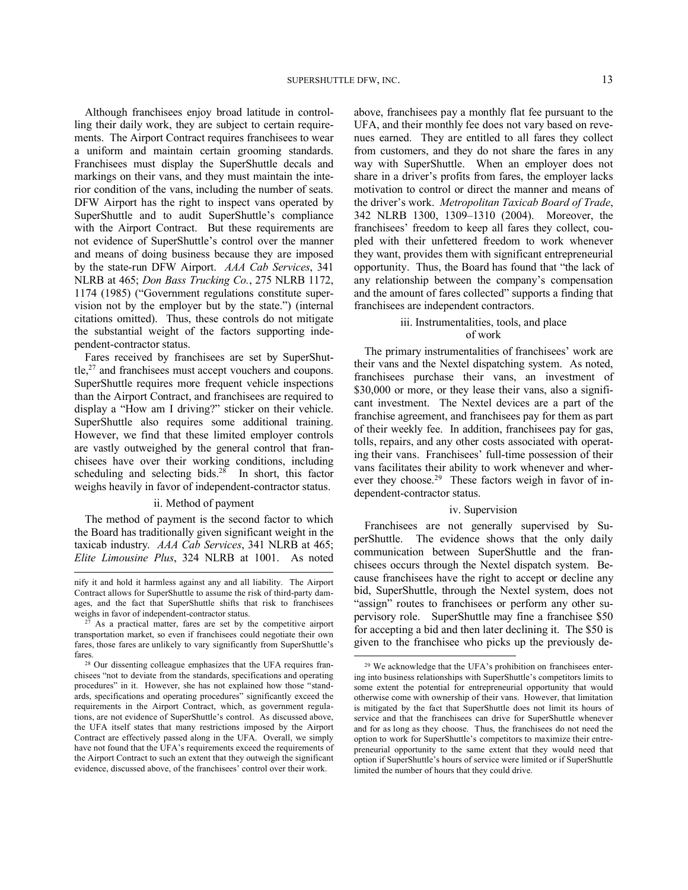Although franchisees enjoy broad latitude in controlling their daily work, they are subject to certain requirements. The Airport Contract requires franchisees to wear a uniform and maintain certain grooming standards. Franchisees must display the SuperShuttle decals and markings on their vans, and they must maintain the interior condition of the vans, including the number of seats. DFW Airport has the right to inspect vans operated by SuperShuttle and to audit SuperShuttle's compliance with the Airport Contract. But these requirements are not evidence of SuperShuttle's control over the manner and means of doing business because they are imposed by the state-run DFW Airport. *AAA Cab Services*, 341 NLRB at 465; *Don Bass Trucking Co.*, 275 NLRB 1172, 1174 (1985) ("Government regulations constitute supervision not by the employer but by the state.") (internal citations omitted). Thus, these controls do not mitigate the substantial weight of the factors supporting independent-contractor status.

Fares received by franchisees are set by SuperShut $t$ le, $27$  and franchisees must accept vouchers and coupons. SuperShuttle requires more frequent vehicle inspections than the Airport Contract, and franchisees are required to display a "How am I driving?" sticker on their vehicle. SuperShuttle also requires some additional training. However, we find that these limited employer controls are vastly outweighed by the general control that franchisees have over their working conditions, including scheduling and selecting bids. $28$  In short, this factor weighs heavily in favor of independent-contractor status.

#### ii. Method of payment

The method of payment is the second factor to which the Board has traditionally given significant weight in the taxicab industry. *AAA Cab Services*, 341 NLRB at 465; *Elite Limousine Plus*, 324 NLRB at 1001. As noted

-

above, franchisees pay a monthly flat fee pursuant to the UFA, and their monthly fee does not vary based on revenues earned. They are entitled to all fares they collect from customers, and they do not share the fares in any way with SuperShuttle. When an employer does not share in a driver's profits from fares, the employer lacks motivation to control or direct the manner and means of the driver's work. *Metropolitan Taxicab Board of Trade*, 342 NLRB 1300, 1309–1310 (2004). Moreover, the franchisees' freedom to keep all fares they collect, coupled with their unfettered freedom to work whenever they want, provides them with significant entrepreneurial opportunity. Thus, the Board has found that "the lack of any relationship between the company's compensation and the amount of fares collected" supports a finding that franchisees are independent contractors.

### iii. Instrumentalities, tools, and place of work

The primary instrumentalities of franchisees' work are their vans and the Nextel dispatching system. As noted, franchisees purchase their vans, an investment of \$30,000 or more, or they lease their vans, also a significant investment. The Nextel devices are a part of the franchise agreement, and franchisees pay for them as part of their weekly fee. In addition, franchisees pay for gas, tolls, repairs, and any other costs associated with operating their vans. Franchisees' full-time possession of their vans facilitates their ability to work whenever and wherever they choose.<sup>29</sup> These factors weigh in favor of independent-contractor status.

#### iv. Supervision

Franchisees are not generally supervised by SuperShuttle. The evidence shows that the only daily communication between SuperShuttle and the franchisees occurs through the Nextel dispatch system. Because franchisees have the right to accept or decline any bid, SuperShuttle, through the Nextel system, does not "assign" routes to franchisees or perform any other supervisory role. SuperShuttle may fine a franchisee \$50 for accepting a bid and then later declining it. The \$50 is given to the franchisee who picks up the previously de-

nify it and hold it harmless against any and all liability. The Airport Contract allows for SuperShuttle to assume the risk of third-party damages, and the fact that SuperShuttle shifts that risk to franchisees weighs in favor of independent-contractor status.

As a practical matter, fares are set by the competitive airport transportation market, so even if franchisees could negotiate their own fares, those fares are unlikely to vary significantly from SuperShuttle's fares.

<sup>28</sup> Our dissenting colleague emphasizes that the UFA requires franchisees "not to deviate from the standards, specifications and operating procedures" in it. However, she has not explained how those "standards, specifications and operating procedures" significantly exceed the requirements in the Airport Contract, which, as government regulations, are not evidence of SuperShuttle's control. As discussed above, the UFA itself states that many restrictions imposed by the Airport Contract are effectively passed along in the UFA. Overall, we simply have not found that the UFA's requirements exceed the requirements of the Airport Contract to such an extent that they outweigh the significant evidence, discussed above, of the franchisees' control over their work.

<sup>29</sup> We acknowledge that the UFA's prohibition on franchisees entering into business relationships with SuperShuttle's competitors limits to some extent the potential for entrepreneurial opportunity that would otherwise come with ownership of their vans. However, that limitation is mitigated by the fact that SuperShuttle does not limit its hours of service and that the franchisees can drive for SuperShuttle whenever and for as long as they choose. Thus, the franchisees do not need the option to work for SuperShuttle's competitors to maximize their entrepreneurial opportunity to the same extent that they would need that option if SuperShuttle's hours of service were limited or if SuperShuttle limited the number of hours that they could drive.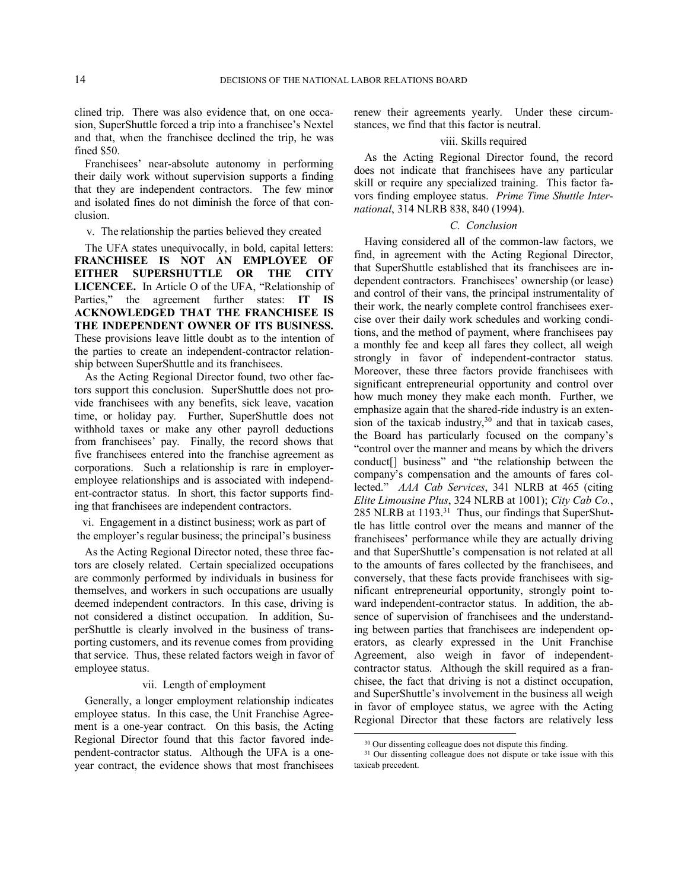clined trip. There was also evidence that, on one occasion, SuperShuttle forced a trip into a franchisee's Nextel and that, when the franchisee declined the trip, he was fined \$50.

Franchisees' near-absolute autonomy in performing their daily work without supervision supports a finding that they are independent contractors. The few minor and isolated fines do not diminish the force of that conclusion.

v. The relationship the parties believed they created

The UFA states unequivocally, in bold, capital letters: **FRANCHISEE IS NOT AN EMPLOYEE OF EITHER SUPERSHUTTLE OR THE CITY LICENCEE.** In Article O of the UFA, "Relationship of Parties," the agreement further states: **IT IS ACKNOWLEDGED THAT THE FRANCHISEE IS THE INDEPENDENT OWNER OF ITS BUSINESS.**  These provisions leave little doubt as to the intention of the parties to create an independent-contractor relationship between SuperShuttle and its franchisees.

As the Acting Regional Director found, two other factors support this conclusion. SuperShuttle does not provide franchisees with any benefits, sick leave, vacation time, or holiday pay. Further, SuperShuttle does not withhold taxes or make any other payroll deductions from franchisees' pay. Finally, the record shows that five franchisees entered into the franchise agreement as corporations. Such a relationship is rare in employeremployee relationships and is associated with independent-contractor status. In short, this factor supports finding that franchisees are independent contractors.

vi. Engagement in a distinct business; work as part of the employer's regular business; the principal's business

As the Acting Regional Director noted, these three factors are closely related. Certain specialized occupations are commonly performed by individuals in business for themselves, and workers in such occupations are usually deemed independent contractors. In this case, driving is not considered a distinct occupation. In addition, SuperShuttle is clearly involved in the business of transporting customers, and its revenue comes from providing that service. Thus, these related factors weigh in favor of employee status.

#### vii. Length of employment

Generally, a longer employment relationship indicates employee status. In this case, the Unit Franchise Agreement is a one-year contract. On this basis, the Acting Regional Director found that this factor favored independent-contractor status. Although the UFA is a oneyear contract, the evidence shows that most franchisees renew their agreements yearly. Under these circumstances, we find that this factor is neutral.

### viii. Skills required

As the Acting Regional Director found, the record does not indicate that franchisees have any particular skill or require any specialized training. This factor favors finding employee status. *Prime Time Shuttle International*, 314 NLRB 838, 840 (1994).

### *C. Conclusion*

Having considered all of the common-law factors, we find, in agreement with the Acting Regional Director, that SuperShuttle established that its franchisees are independent contractors. Franchisees' ownership (or lease) and control of their vans, the principal instrumentality of their work, the nearly complete control franchisees exercise over their daily work schedules and working conditions, and the method of payment, where franchisees pay a monthly fee and keep all fares they collect, all weigh strongly in favor of independent-contractor status. Moreover, these three factors provide franchisees with significant entrepreneurial opportunity and control over how much money they make each month. Further, we emphasize again that the shared-ride industry is an extension of the taxicab industry, $30$  and that in taxicab cases, the Board has particularly focused on the company's "control over the manner and means by which the drivers conduct[] business" and "the relationship between the company's compensation and the amounts of fares collected." *AAA Cab Services*, 341 NLRB at 465 (citing *Elite Limousine Plus*, 324 NLRB at 1001); *City Cab Co.*, 285 NLRB at 1193.<sup>31</sup> Thus, our findings that SuperShuttle has little control over the means and manner of the franchisees' performance while they are actually driving and that SuperShuttle's compensation is not related at all to the amounts of fares collected by the franchisees, and conversely, that these facts provide franchisees with significant entrepreneurial opportunity, strongly point toward independent-contractor status. In addition, the absence of supervision of franchisees and the understanding between parties that franchisees are independent operators, as clearly expressed in the Unit Franchise Agreement, also weigh in favor of independentcontractor status. Although the skill required as a franchisee, the fact that driving is not a distinct occupation, and SuperShuttle's involvement in the business all weigh in favor of employee status, we agree with the Acting Regional Director that these factors are relatively less

-

<sup>30</sup> Our dissenting colleague does not dispute this finding.

<sup>&</sup>lt;sup>31</sup> Our dissenting colleague does not dispute or take issue with this taxicab precedent.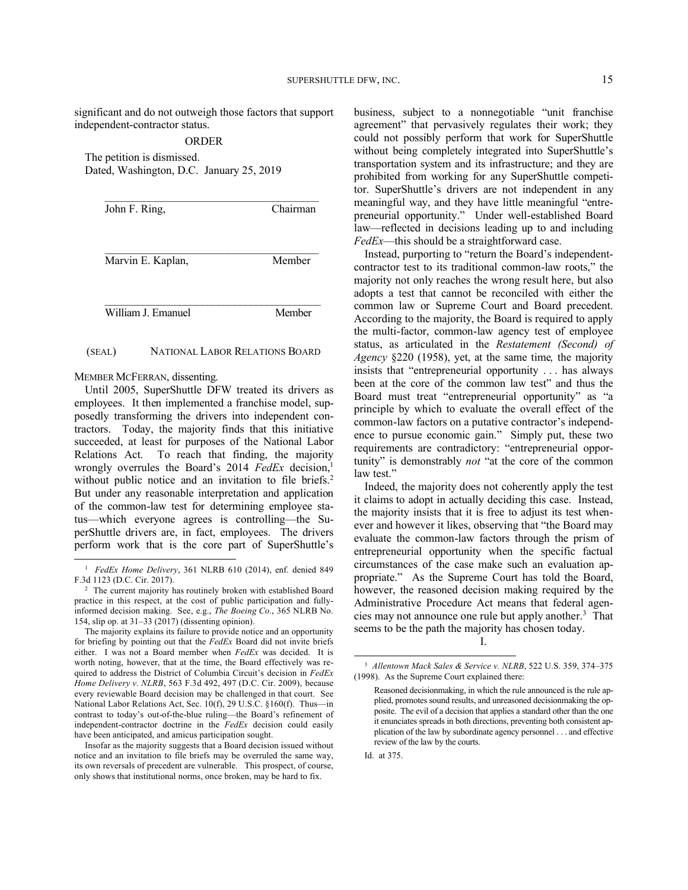significant and do not outweigh those factors that support independent-contractor status.

#### ORDER

The petition is dismissed. Dated, Washington, D.C. January 25, 2019

| John F. Ring,      | Chairman |
|--------------------|----------|
| Marvin E. Kaplan,  | Member   |
| William J. Emanuel | Member   |

#### (SEAL) NATIONAL LABOR RELATIONS BOARD

MEMBER MCFERRAN, dissenting.

-

Until 2005, SuperShuttle DFW treated its drivers as employees. It then implemented a franchise model, supposedly transforming the drivers into independent contractors. Today, the majority finds that this initiative succeeded, at least for purposes of the National Labor Relations Act. To reach that finding, the majority wrongly overrules the Board's 2014 *FedEx* decision,<sup>1</sup> without public notice and an invitation to file briefs.<sup>2</sup> But under any reasonable interpretation and application of the common-law test for determining employee status—which everyone agrees is controlling—the SuperShuttle drivers are, in fact, employees. The drivers perform work that is the core part of SuperShuttle's

business, subject to a nonnegotiable "unit franchise agreement" that pervasively regulates their work; they could not possibly perform that work for SuperShuttle without being completely integrated into SuperShuttle's transportation system and its infrastructure; and they are prohibited from working for any SuperShuttle competitor. SuperShuttle's drivers are not independent in any meaningful way, and they have little meaningful "entrepreneurial opportunity." Under well-established Board law—reflected in decisions leading up to and including *FedEx*—this should be a straightforward case.

Instead, purporting to "return the Board's independentcontractor test to its traditional common-law roots," the majority not only reaches the wrong result here, but also adopts a test that cannot be reconciled with either the common law or Supreme Court and Board precedent. According to the majority, the Board is required to apply the multi-factor, common-law agency test of employee status, as articulated in the *Restatement (Second) of Agency* §220 (1958), yet, at the same time*,* the majority insists that "entrepreneurial opportunity . . . has always been at the core of the common law test" and thus the Board must treat "entrepreneurial opportunity" as "a principle by which to evaluate the overall effect of the common-law factors on a putative contractor's independence to pursue economic gain." Simply put, these two requirements are contradictory: "entrepreneurial opportunity" is demonstrably *not* "at the core of the common law test."

Indeed, the majority does not coherently apply the test it claims to adopt in actually deciding this case. Instead, the majority insists that it is free to adjust its test whenever and however it likes, observing that "the Board may evaluate the common-law factors through the prism of entrepreneurial opportunity when the specific factual circumstances of the case make such an evaluation appropriate." As the Supreme Court has told the Board, however, the reasoned decision making required by the Administrative Procedure Act means that federal agencies may not announce one rule but apply another.<sup>3</sup> That seems to be the path the majority has chosen today.

l

<sup>1</sup> *FedEx Home Delivery*, 361 NLRB 610 (2014), enf. denied 849 F.3d 1123 (D.C. Cir. 2017).

<sup>2</sup> The current majority has routinely broken with established Board practice in this respect, at the cost of public participation and fullyinformed decision making. See, e.g., *The Boeing Co.*, 365 NLRB No. 154, slip op. at 31–33 (2017) (dissenting opinion).

The majority explains its failure to provide notice and an opportunity for briefing by pointing out that the *FedEx* Board did not invite briefs either. I was not a Board member when *FedEx* was decided. It is worth noting, however, that at the time, the Board effectively was required to address the District of Columbia Circuit's decision in *FedEx Home Delivery v. NLRB*, 563 F.3d 492, 497 (D.C. Cir. 2009), because every reviewable Board decision may be challenged in that court. See National Labor Relations Act, Sec. 10(f), 29 U.S.C. §160(f). Thus—in contrast to today's out-of-the-blue ruling—the Board's refinement of independent-contractor doctrine in the *FedEx* decision could easily have been anticipated, and amicus participation sought.

Insofar as the majority suggests that a Board decision issued without notice and an invitation to file briefs may be overruled the same way, its own reversals of precedent are vulnerable. This prospect, of course, only shows that institutional norms, once broken, may be hard to fix.

I.

<sup>3</sup> *Allentown Mack Sales & Service v. NLRB*, 522 U.S. 359, 374–375 (1998). As the Supreme Court explained there:

Reasoned decisionmaking, in which the rule announced is the rule applied, promotes sound results, and unreasoned decisionmaking the opposite. The evil of a decision that applies a standard other than the one it enunciates spreads in both directions, preventing both consistent application of the law by subordinate agency personnel . . . and effective review of the law by the courts.

Id. at 375.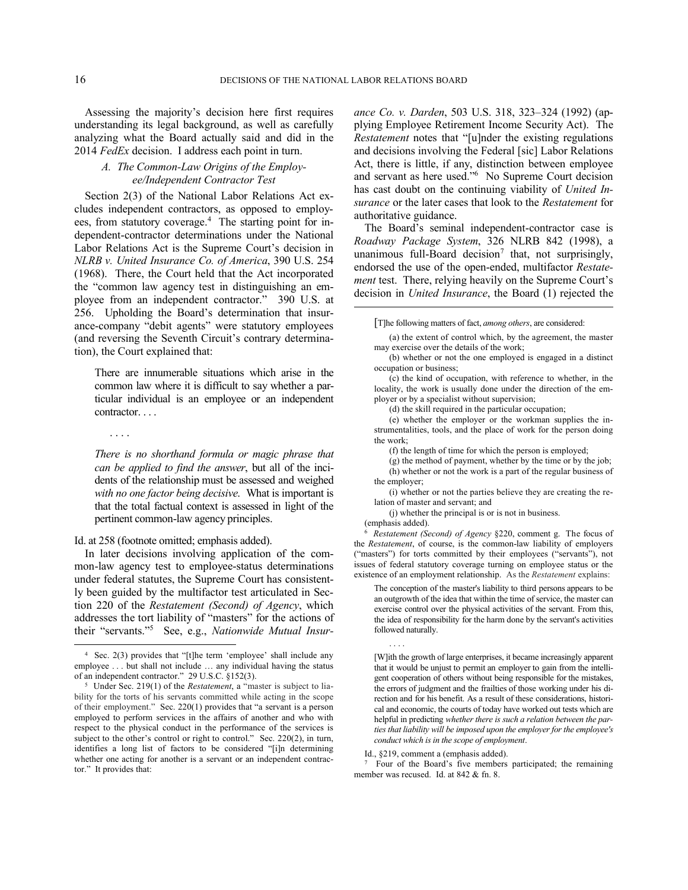Assessing the majority's decision here first requires understanding its legal background, as well as carefully analyzing what the Board actually said and did in the 2014 *FedEx* decision. I address each point in turn.

# *A. The Common-Law Origins of the Employee/Independent Contractor Test*

Section 2(3) of the National Labor Relations Act excludes independent contractors, as opposed to employees, from statutory coverage.<sup>4</sup> The starting point for independent-contractor determinations under the National Labor Relations Act is the Supreme Court's decision in *NLRB v. United Insurance Co. of America*, 390 U.S. 254 (1968). There, the Court held that the Act incorporated the "common law agency test in distinguishing an employee from an independent contractor." 390 U.S. at 256. Upholding the Board's determination that insurance-company "debit agents" were statutory employees (and reversing the Seventh Circuit's contrary determination), the Court explained that:

There are innumerable situations which arise in the common law where it is difficult to say whether a particular individual is an employee or an independent contractor....

*There is no shorthand formula or magic phrase that can be applied to find the answer*, but all of the incidents of the relationship must be assessed and weighed *with no one factor being decisive*. What is important is that the total factual context is assessed in light of the pertinent common-law agency principles.

Id. at 258 (footnote omitted; emphasis added).

. . . .

1

In later decisions involving application of the common-law agency test to employee-status determinations under federal statutes, the Supreme Court has consistently been guided by the multifactor test articulated in Section 220 of the *Restatement (Second) of Agency*, which addresses the tort liability of "masters" for the actions of their "servants."<sup>5</sup> See, e.g., *Nationwide Mutual Insur-* *ance Co. v. Darden*, 503 U.S. 318, 323–324 (1992) (applying Employee Retirement Income Security Act). The *Restatement* notes that "[u]nder the existing regulations and decisions involving the Federal [sic] Labor Relations Act, there is little, if any, distinction between employee and servant as here used."<sup>6</sup> No Supreme Court decision has cast doubt on the continuing viability of *United Insurance* or the later cases that look to the *Restatement* for authoritative guidance.

The Board's seminal independent-contractor case is *Roadway Package System*, 326 NLRB 842 (1998), a unanimous full-Board decision<sup>7</sup> that, not surprisingly, endorsed the use of the open-ended, multifactor *Restatement* test. There, relying heavily on the Supreme Court's decision in *United Insurance*, the Board (1) rejected the

[T]he following matters of fact, *among others*, are considered:

(a) the extent of control which, by the agreement, the master may exercise over the details of the work;

(b) whether or not the one employed is engaged in a distinct occupation or business;

(c) the kind of occupation, with reference to whether, in the locality, the work is usually done under the direction of the employer or by a specialist without supervision;

(d) the skill required in the particular occupation;

(e) whether the employer or the workman supplies the instrumentalities, tools, and the place of work for the person doing the work;

(f) the length of time for which the person is employed;

(g) the method of payment, whether by the time or by the job; (h) whether or not the work is a part of the regular business of the employer;

(i) whether or not the parties believe they are creating the relation of master and servant; and

(j) whether the principal is or is not in business.

(emphasis added).

. . . .

6 *Restatement (Second) of Agency* §220, comment g. The focus of the *Restatement*, of course, is the common-law liability of employers ("masters") for torts committed by their employees ("servants"), not issues of federal statutory coverage turning on employee status or the existence of an employment relationship. As the *Restatement* explains:

The conception of the master's liability to third persons appears to be an outgrowth of the idea that within the time of service, the master can exercise control over the physical activities of the servant. From this, the idea of responsibility for the harm done by the servant's activities followed naturally.

[W]ith the growth of large enterprises, it became increasingly apparent that it would be unjust to permit an employer to gain from the intelligent cooperation of others without being responsible for the mistakes, the errors of judgment and the frailties of those working under his direction and for his benefit. As a result of these considerations, historical and economic, the courts of today have worked out tests which are helpful in predicting *whether there is such a relation between the parties that liability will be imposed upon the employer for the employee's conduct which is in the scope of employment*.

7 Four of the Board's five members participated; the remaining member was recused. Id. at 842 & fn. 8.

<sup>4</sup> Sec. 2(3) provides that "[t]he term 'employee' shall include any employee . . . but shall not include … any individual having the status of an independent contractor." 29 U.S.C. §152(3).

<sup>5</sup> Under Sec. 219(1) of the *Restatement*, a "master is subject to liability for the torts of his servants committed while acting in the scope of their employment." Sec. 220(1) provides that "a servant is a person employed to perform services in the affairs of another and who with respect to the physical conduct in the performance of the services is subject to the other's control or right to control." Sec. 220(2), in turn, identifies a long list of factors to be considered "[i]n determining whether one acting for another is a servant or an independent contractor." It provides that:

Id., §219, comment a (emphasis added).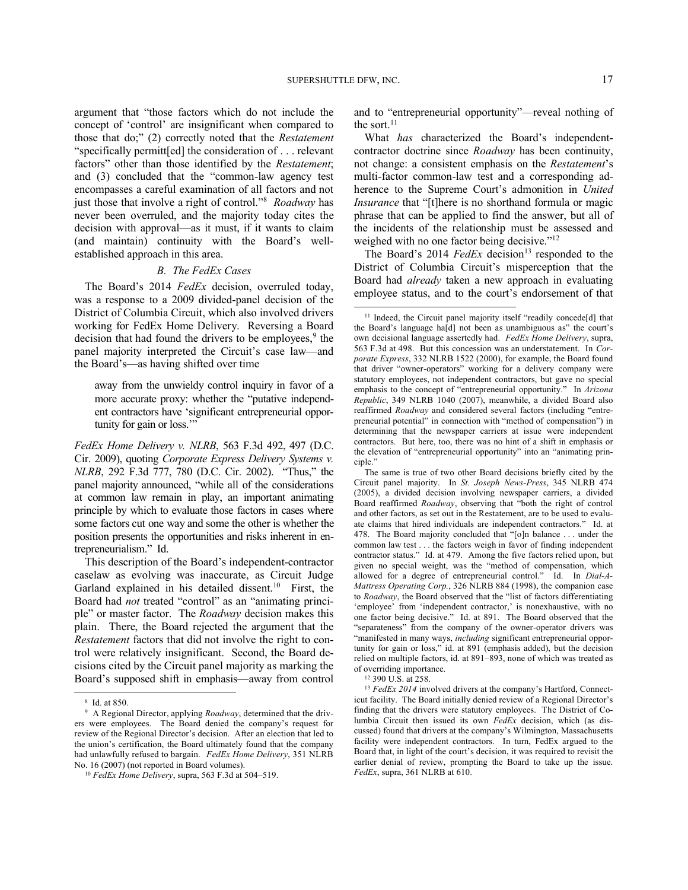argument that "those factors which do not include the concept of 'control' are insignificant when compared to those that do;" (2) correctly noted that the *Restatement* "specifically permitt[ed] the consideration of . . . relevant factors" other than those identified by the *Restatement*; and (3) concluded that the "common-law agency test encompasses a careful examination of all factors and not just those that involve a right of control."<sup>8</sup> *Roadway* has never been overruled, and the majority today cites the decision with approval—as it must, if it wants to claim (and maintain) continuity with the Board's wellestablished approach in this area.

#### *B. The FedEx Cases*

The Board's 2014 *FedEx* decision, overruled today, was a response to a 2009 divided-panel decision of the District of Columbia Circuit, which also involved drivers working for FedEx Home Delivery. Reversing a Board decision that had found the drivers to be employees, $9$  the panel majority interpreted the Circuit's case law—and the Board's—as having shifted over time

away from the unwieldy control inquiry in favor of a more accurate proxy: whether the "putative independent contractors have 'significant entrepreneurial opportunity for gain or loss."

*FedEx Home Delivery v. NLRB*, 563 F.3d 492, 497 (D.C. Cir. 2009), quoting *Corporate Express Delivery Systems v. NLRB*, 292 F.3d 777, 780 (D.C. Cir. 2002). "Thus," the panel majority announced, "while all of the considerations at common law remain in play, an important animating principle by which to evaluate those factors in cases where some factors cut one way and some the other is whether the position presents the opportunities and risks inherent in entrepreneurialism." Id.

This description of the Board's independent-contractor caselaw as evolving was inaccurate, as Circuit Judge Garland explained in his detailed dissent.<sup>10</sup> First, the Board had *not* treated "control" as an "animating principle" or master factor. The *Roadway* decision makes this plain. There, the Board rejected the argument that the *Restatement* factors that did not involve the right to control were relatively insignificant. Second, the Board decisions cited by the Circuit panel majority as marking the Board's supposed shift in emphasis—away from control

-

and to "entrepreneurial opportunity"—reveal nothing of the sort. $11$ 

What *has* characterized the Board's independentcontractor doctrine since *Roadway* has been continuity, not change: a consistent emphasis on the *Restatement*'s multi-factor common-law test and a corresponding adherence to the Supreme Court's admonition in *United Insurance* that "[t]here is no shorthand formula or magic phrase that can be applied to find the answer, but all of the incidents of the relationship must be assessed and weighed with no one factor being decisive."<sup>12</sup>

The Board's 2014 *FedEx* decision<sup>13</sup> responded to the District of Columbia Circuit's misperception that the Board had *already* taken a new approach in evaluating employee status, and to the court's endorsement of that

<sup>12</sup> 390 U.S. at 258.

<sup>13</sup> *FedEx 2014* involved drivers at the company's Hartford, Connecticut facility. The Board initially denied review of a Regional Director's finding that the drivers were statutory employees. The District of Columbia Circuit then issued its own *FedEx* decision, which (as discussed) found that drivers at the company's Wilmington, Massachusetts facility were independent contractors. In turn, FedEx argued to the Board that, in light of the court's decision, it was required to revisit the earlier denial of review, prompting the Board to take up the issue. *FedEx*, supra, 361 NLRB at 610.

<sup>8</sup> Id. at 850.

<sup>9</sup> A Regional Director, applying *Roadway*, determined that the drivers were employees. The Board denied the company's request for review of the Regional Director's decision. After an election that led to the union's certification, the Board ultimately found that the company had unlawfully refused to bargain. *FedEx Home Delivery*, 351 NLRB No. 16 (2007) (not reported in Board volumes).

<sup>10</sup> *FedEx Home Delivery*, supra, 563 F.3d at 504–519.

<sup>&</sup>lt;sup>11</sup> Indeed, the Circuit panel majority itself "readily concede[d] that the Board's language ha[d] not been as unambiguous as" the court's own decisional language assertedly had. *FedEx Home Delivery*, supra, 563 F.3d at 498. But this concession was an understatement. In *Corporate Express*, 332 NLRB 1522 (2000), for example, the Board found that driver "owner-operators" working for a delivery company were statutory employees, not independent contractors, but gave no special emphasis to the concept of "entrepreneurial opportunity." In *Arizona Republic*, 349 NLRB 1040 (2007), meanwhile, a divided Board also reaffirmed *Roadway* and considered several factors (including "entrepreneurial potential" in connection with "method of compensation") in determining that the newspaper carriers at issue were independent contractors. But here, too, there was no hint of a shift in emphasis or the elevation of "entrepreneurial opportunity" into an "animating principle."

The same is true of two other Board decisions briefly cited by the Circuit panel majority. In *St. Joseph News-Press*, 345 NLRB 474 (2005), a divided decision involving newspaper carriers, a divided Board reaffirmed *Roadway*, observing that "both the right of control and other factors, as set out in the Restatement, are to be used to evaluate claims that hired individuals are independent contractors." Id. at 478. The Board majority concluded that "[o]n balance . . . under the common law test . . . the factors weigh in favor of finding independent contractor status." Id. at 479. Among the five factors relied upon, but given no special weight, was the "method of compensation, which allowed for a degree of entrepreneurial control." Id. In *Dial-A-Mattress Operating Corp.*, 326 NLRB 884 (1998), the companion case to *Roadway*, the Board observed that the "list of factors differentiating 'employee' from 'independent contractor,' is nonexhaustive, with no one factor being decisive." Id. at 891. The Board observed that the "separateness" from the company of the owner-operator drivers was "manifested in many ways, *including* significant entrepreneurial opportunity for gain or loss," id. at 891 (emphasis added), but the decision relied on multiple factors, id. at 891–893, none of which was treated as of overriding importance.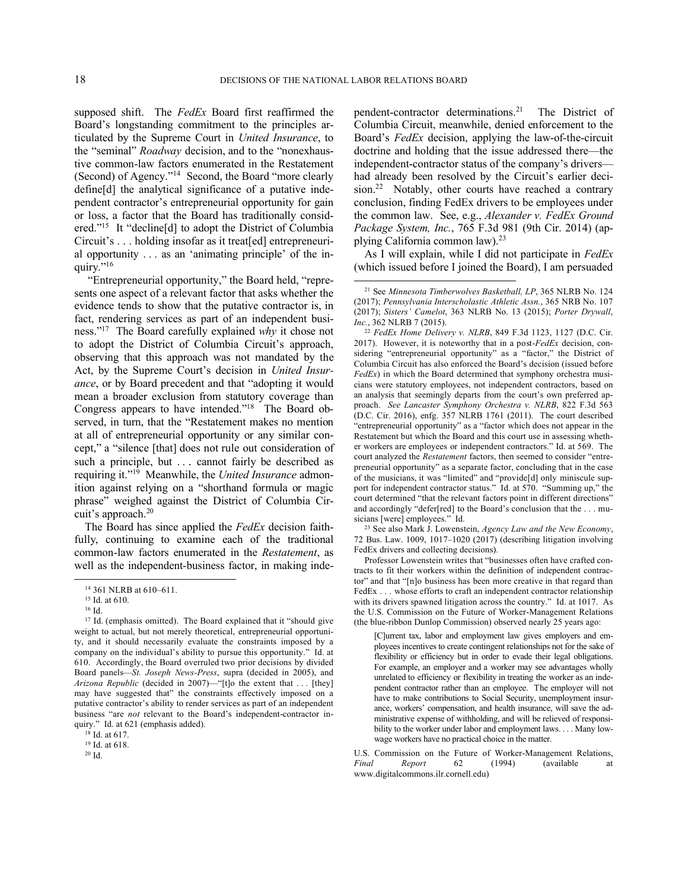supposed shift. The *FedEx* Board first reaffirmed the Board's longstanding commitment to the principles articulated by the Supreme Court in *United Insurance*, to the "seminal" *Roadway* decision, and to the "nonexhaustive common-law factors enumerated in the Restatement (Second) of Agency."<sup>14</sup> Second, the Board "more clearly define[d] the analytical significance of a putative independent contractor's entrepreneurial opportunity for gain or loss, a factor that the Board has traditionally considered."<sup>15</sup> It "decline[d] to adopt the District of Columbia Circuit's . . . holding insofar as it treat[ed] entrepreneurial opportunity . . . as an 'animating principle' of the inquiry."<sup>16</sup>

"Entrepreneurial opportunity," the Board held, "represents one aspect of a relevant factor that asks whether the evidence tends to show that the putative contractor is, in fact, rendering services as part of an independent business."<sup>17</sup> The Board carefully explained *why* it chose not to adopt the District of Columbia Circuit's approach, observing that this approach was not mandated by the Act, by the Supreme Court's decision in *United Insurance*, or by Board precedent and that "adopting it would mean a broader exclusion from statutory coverage than Congress appears to have intended."<sup>18</sup> The Board observed, in turn, that the "Restatement makes no mention at all of entrepreneurial opportunity or any similar concept," a "silence [that] does not rule out consideration of such a principle, but . . . cannot fairly be described as requiring it."<sup>19</sup> Meanwhile, the *United Insurance* admonition against relying on a "shorthand formula or magic phrase" weighed against the District of Columbia Circuit's approach.<sup>20</sup>

The Board has since applied the *FedEx* decision faithfully, continuing to examine each of the traditional common-law factors enumerated in the *Restatement*, as well as the independent-business factor, in making inde-

-

<sup>18</sup> Id. at 617.

pendent-contractor determinations.<sup>21</sup> The District of Columbia Circuit, meanwhile, denied enforcement to the Board's *FedEx* decision, applying the law-of-the-circuit doctrine and holding that the issue addressed there—the independent-contractor status of the company's drivers had already been resolved by the Circuit's earlier decision.<sup>22</sup> Notably, other courts have reached a contrary conclusion, finding FedEx drivers to be employees under the common law. See, e.g., *Alexander v. FedEx Ground Package System, Inc.*, 765 F.3d 981 (9th Cir. 2014) (applying California common law).<sup>23</sup>

As I will explain, while I did not participate in *FedEx* (which issued before I joined the Board), I am persuaded

<sup>23</sup> See also Mark J. Lowenstein, *Agency Law and the New Economy*, 72 Bus. Law. 1009, 1017–1020 (2017) (describing litigation involving FedEx drivers and collecting decisions).

Professor Lowenstein writes that "businesses often have crafted contracts to fit their workers within the definition of independent contractor" and that "[n]o business has been more creative in that regard than FedEx . . . whose efforts to craft an independent contractor relationship with its drivers spawned litigation across the country." Id. at 1017. As the U.S. Commission on the Future of Worker-Management Relations (the blue-ribbon Dunlop Commission) observed nearly 25 years ago:

[C]urrent tax, labor and employment law gives employers and employees incentives to create contingent relationships not for the sake of flexibility or efficiency but in order to evade their legal obligations. For example, an employer and a worker may see advantages wholly unrelated to efficiency or flexibility in treating the worker as an independent contractor rather than an employee. The employer will not have to make contributions to Social Security, unemployment insurance, workers' compensation, and health insurance, will save the administrative expense of withholding, and will be relieved of responsibility to the worker under labor and employment laws. . . . Many lowwage workers have no practical choice in the matter.

U.S. Commission on the Future of Worker-Management Relations,<br>
Final Report 62 (1994) (available at *Final Report* 62 (1994) (available at www.digitalcommons.ilr.cornell.edu)

<sup>14</sup> 361 NLRB at 610–611.

<sup>15</sup> Id. at 610.

<sup>16</sup> Id.

<sup>&</sup>lt;sup>17</sup> Id. (emphasis omitted). The Board explained that it "should give weight to actual, but not merely theoretical, entrepreneurial opportunity, and it should necessarily evaluate the constraints imposed by a company on the individual's ability to pursue this opportunity." Id. at 610. Accordingly, the Board overruled two prior decisions by divided Board panels—*St. Joseph News-Press*, supra (decided in 2005), and *Arizona Republic* (decided in 2007)—"[t]o the extent that . . . [they] may have suggested that" the constraints effectively imposed on a putative contractor's ability to render services as part of an independent business "are *not* relevant to the Board's independent-contractor inquiry." Id. at 621 (emphasis added).

<sup>19</sup> Id. at 618.

<sup>20</sup> Id.

<sup>21</sup> See *Minnesota Timberwolves Basketball, LP*, 365 NLRB No. 124 (2017); *Pennsylvania Interscholastic Athletic Assn.*, 365 NRB No. 107 (2017); *Sisters' Camelot*, 363 NLRB No. 13 (2015); *Porter Drywall*, *Inc.*, 362 NLRB 7 (2015).

<sup>22</sup> *FedEx Home Delivery v. NLRB*, 849 F.3d 1123, 1127 (D.C. Cir. 2017). However, it is noteworthy that in a post-*FedEx* decision, considering "entrepreneurial opportunity" as a "factor," the District of Columbia Circuit has also enforced the Board's decision (issued before *FedEx*) in which the Board determined that symphony orchestra musicians were statutory employees, not independent contractors, based on an analysis that seemingly departs from the court's own preferred approach. *See Lancaster Symphony Orchestra v. NLRB*, 822 F.3d 563 (D.C. Cir. 2016), enfg. 357 NLRB 1761 (2011). The court described "entrepreneurial opportunity" as a "factor which does not appear in the Restatement but which the Board and this court use in assessing whether workers are employees or independent contractors." Id. at 569. The court analyzed the *Restatement* factors, then seemed to consider "entrepreneurial opportunity" as a separate factor, concluding that in the case of the musicians, it was "limited" and "provide[d] only miniscule support for independent contractor status." Id. at 570. "Summing up," the court determined "that the relevant factors point in different directions" and accordingly "defer[red] to the Board's conclusion that the . . . musicians [were] employees." Id.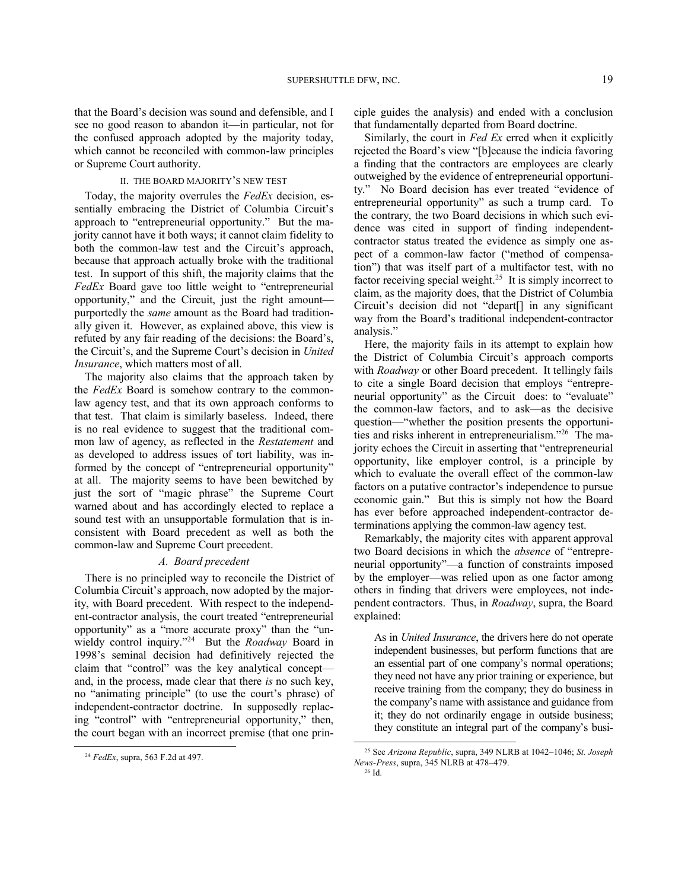that the Board's decision was sound and defensible, and I see no good reason to abandon it—in particular, not for the confused approach adopted by the majority today, which cannot be reconciled with common-law principles or Supreme Court authority.

### II. THE BOARD MAJORITY'S NEW TEST

Today, the majority overrules the *FedEx* decision, essentially embracing the District of Columbia Circuit's approach to "entrepreneurial opportunity." But the majority cannot have it both ways; it cannot claim fidelity to both the common-law test and the Circuit's approach, because that approach actually broke with the traditional test. In support of this shift, the majority claims that the *FedEx* Board gave too little weight to "entrepreneurial opportunity," and the Circuit, just the right amount purportedly the *same* amount as the Board had traditionally given it. However, as explained above, this view is refuted by any fair reading of the decisions: the Board's, the Circuit's, and the Supreme Court's decision in *United Insurance*, which matters most of all.

The majority also claims that the approach taken by the *FedEx* Board is somehow contrary to the commonlaw agency test, and that its own approach conforms to that test. That claim is similarly baseless. Indeed, there is no real evidence to suggest that the traditional common law of agency, as reflected in the *Restatement* and as developed to address issues of tort liability, was informed by the concept of "entrepreneurial opportunity" at all. The majority seems to have been bewitched by just the sort of "magic phrase" the Supreme Court warned about and has accordingly elected to replace a sound test with an unsupportable formulation that is inconsistent with Board precedent as well as both the common-law and Supreme Court precedent.

### *A. Board precedent*

There is no principled way to reconcile the District of Columbia Circuit's approach, now adopted by the majority, with Board precedent. With respect to the independent-contractor analysis, the court treated "entrepreneurial opportunity" as a "more accurate proxy" than the "unwieldy control inquiry."<sup>24</sup> But the *Roadway* Board in 1998's seminal decision had definitively rejected the claim that "control" was the key analytical concept and, in the process, made clear that there *is* no such key, no "animating principle" (to use the court's phrase) of independent-contractor doctrine. In supposedly replacing "control" with "entrepreneurial opportunity," then, the court began with an incorrect premise (that one prin-

-

ciple guides the analysis) and ended with a conclusion that fundamentally departed from Board doctrine.

Similarly, the court in *Fed Ex* erred when it explicitly rejected the Board's view "[b]ecause the indicia favoring a finding that the contractors are employees are clearly outweighed by the evidence of entrepreneurial opportunity." No Board decision has ever treated "evidence of entrepreneurial opportunity" as such a trump card. To the contrary, the two Board decisions in which such evidence was cited in support of finding independentcontractor status treated the evidence as simply one aspect of a common-law factor ("method of compensation") that was itself part of a multifactor test, with no factor receiving special weight.<sup>25</sup> It is simply incorrect to claim, as the majority does, that the District of Columbia Circuit's decision did not "depart[] in any significant way from the Board's traditional independent-contractor analysis."

Here, the majority fails in its attempt to explain how the District of Columbia Circuit's approach comports with *Roadway* or other Board precedent. It tellingly fails to cite a single Board decision that employs "entrepreneurial opportunity" as the Circuit does: to "evaluate" the common-law factors, and to ask—as the decisive question—"whether the position presents the opportunities and risks inherent in entrepreneurialism."<sup>26</sup> The majority echoes the Circuit in asserting that "entrepreneurial opportunity, like employer control, is a principle by which to evaluate the overall effect of the common-law factors on a putative contractor's independence to pursue economic gain." But this is simply not how the Board has ever before approached independent-contractor determinations applying the common-law agency test.

Remarkably, the majority cites with apparent approval two Board decisions in which the *absence* of "entrepreneurial opportunity"—a function of constraints imposed by the employer—was relied upon as one factor among others in finding that drivers were employees, not independent contractors. Thus, in *Roadway*, supra, the Board explained:

As in *United Insurance*, the drivers here do not operate independent businesses, but perform functions that are an essential part of one company's normal operations; they need not have any prior training or experience, but receive training from the company; they do business in the company's name with assistance and guidance from it; they do not ordinarily engage in outside business; they constitute an integral part of the company's busi-

l

<sup>24</sup> *FedEx*, supra, 563 F.2d at 497.

<sup>25</sup> See *Arizona Republic*, supra, 349 NLRB at 1042–1046; *St. Joseph News-Press*, supra, 345 NLRB at 478–479.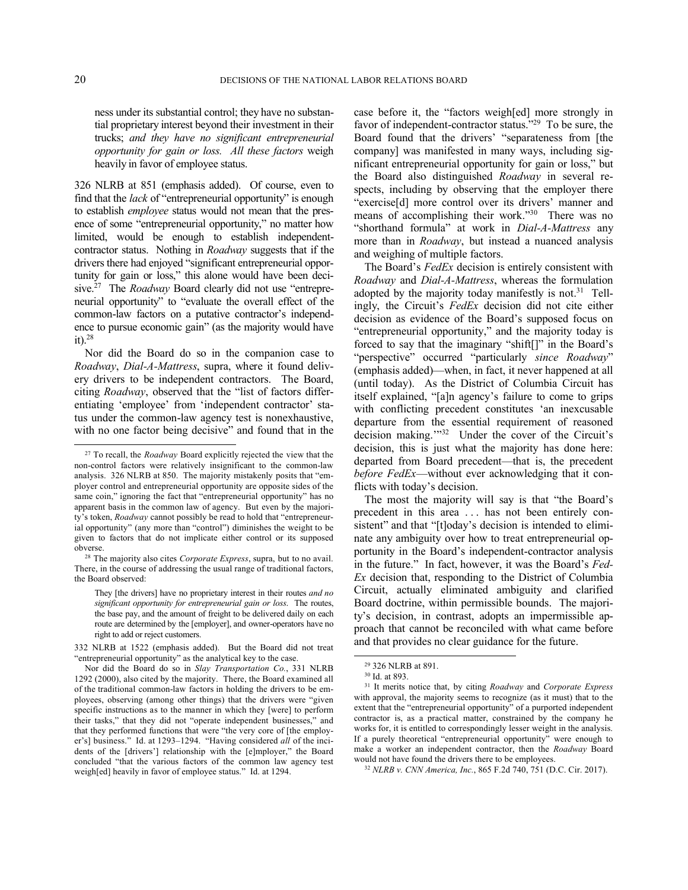ness under its substantial control; they have no substantial proprietary interest beyond their investment in their trucks; *and they have no significant entrepreneurial opportunity for gain or loss. All these factors* weigh heavily in favor of employee status.

326 NLRB at 851 (emphasis added). Of course, even to find that the *lack* of "entrepreneurial opportunity" is enough to establish *employee* status would not mean that the presence of some "entrepreneurial opportunity," no matter how limited, would be enough to establish independentcontractor status. Nothing in *Roadway* suggests that if the drivers there had enjoyed "significant entrepreneurial opportunity for gain or loss," this alone would have been decisive.<sup>27</sup> The *Roadway* Board clearly did not use "entrepreneurial opportunity" to "evaluate the overall effect of the common-law factors on a putative contractor's independence to pursue economic gain" (as the majority would have it). $28$ 

Nor did the Board do so in the companion case to *Roadway*, *Dial-A-Mattress*, supra, where it found delivery drivers to be independent contractors. The Board, citing *Roadway*, observed that the "list of factors differentiating 'employee' from 'independent contractor' status under the common-law agency test is nonexhaustive, with no one factor being decisive" and found that in the case before it, the "factors weigh[ed] more strongly in favor of independent-contractor status."<sup>29</sup> To be sure, the Board found that the drivers' "separateness from [the company] was manifested in many ways, including significant entrepreneurial opportunity for gain or loss," but the Board also distinguished *Roadway* in several respects, including by observing that the employer there "exercise[d] more control over its drivers' manner and means of accomplishing their work."<sup>30</sup> There was no "shorthand formula" at work in *Dial-A-Mattress* any more than in *Roadway*, but instead a nuanced analysis and weighing of multiple factors.

The Board's *FedEx* decision is entirely consistent with *Roadway* and *Dial-A-Mattress*, whereas the formulation adopted by the majority today manifestly is not. $31$  Tellingly, the Circuit's *FedEx* decision did not cite either decision as evidence of the Board's supposed focus on "entrepreneurial opportunity," and the majority today is forced to say that the imaginary "shift[]" in the Board's "perspective" occurred "particularly *since Roadway*" (emphasis added)—when, in fact, it never happened at all (until today). As the District of Columbia Circuit has itself explained, "[a]n agency's failure to come to grips with conflicting precedent constitutes 'an inexcusable departure from the essential requirement of reasoned decision making.'"<sup>32</sup> Under the cover of the Circuit's decision, this is just what the majority has done here: departed from Board precedent—that is, the precedent *before FedEx*—without ever acknowledging that it conflicts with today's decision.

The most the majority will say is that "the Board's precedent in this area . . . has not been entirely consistent" and that "[t]oday's decision is intended to eliminate any ambiguity over how to treat entrepreneurial opportunity in the Board's independent-contractor analysis in the future." In fact, however, it was the Board's *Fed-Ex* decision that, responding to the District of Columbia Circuit, actually eliminated ambiguity and clarified Board doctrine, within permissible bounds. The majority's decision, in contrast, adopts an impermissible approach that cannot be reconciled with what came before and that provides no clear guidance for the future.

l

-

<sup>27</sup> To recall, the *Roadway* Board explicitly rejected the view that the non-control factors were relatively insignificant to the common-law analysis. 326 NLRB at 850. The majority mistakenly posits that "employer control and entrepreneurial opportunity are opposite sides of the same coin," ignoring the fact that "entrepreneurial opportunity" has no apparent basis in the common law of agency. But even by the majority's token, *Roadway* cannot possibly be read to hold that "entrepreneurial opportunity" (any more than "control") diminishes the weight to be given to factors that do not implicate either control or its supposed obverse.

<sup>28</sup> The majority also cites *Corporate Express*, supra, but to no avail. There, in the course of addressing the usual range of traditional factors, the Board observed:

They [the drivers] have no proprietary interest in their routes *and no significant opportunity for entrepreneurial gain or loss*. The routes, the base pay, and the amount of freight to be delivered daily on each route are determined by the [employer], and owner-operators have no right to add or reject customers.

<sup>332</sup> NLRB at 1522 (emphasis added). But the Board did not treat "entrepreneurial opportunity" as the analytical key to the case.

Nor did the Board do so in *Slay Transportation Co.*, 331 NLRB 1292 (2000), also cited by the majority. There, the Board examined all of the traditional common-law factors in holding the drivers to be employees, observing (among other things) that the drivers were "given specific instructions as to the manner in which they [were] to perform their tasks," that they did not "operate independent businesses," and that they performed functions that were "the very core of [the employer's] business." Id. at 1293–1294. "Having considered *all* of the incidents of the [drivers'] relationship with the [e]mployer," the Board concluded "that the various factors of the common law agency test weigh[ed] heavily in favor of employee status." Id. at 1294.

<sup>29</sup> 326 NLRB at 891.

<sup>30</sup> Id. at 893.

<sup>31</sup> It merits notice that, by citing *Roadway* and *Corporate Express*  with approval, the majority seems to recognize (as it must) that to the extent that the "entrepreneurial opportunity" of a purported independent contractor is, as a practical matter, constrained by the company he works for, it is entitled to correspondingly lesser weight in the analysis. If a purely theoretical "entrepreneurial opportunity" were enough to make a worker an independent contractor, then the *Roadway* Board would not have found the drivers there to be employees.

<sup>32</sup> *NLRB v. CNN America, Inc.*, 865 F.2d 740, 751 (D.C. Cir. 2017).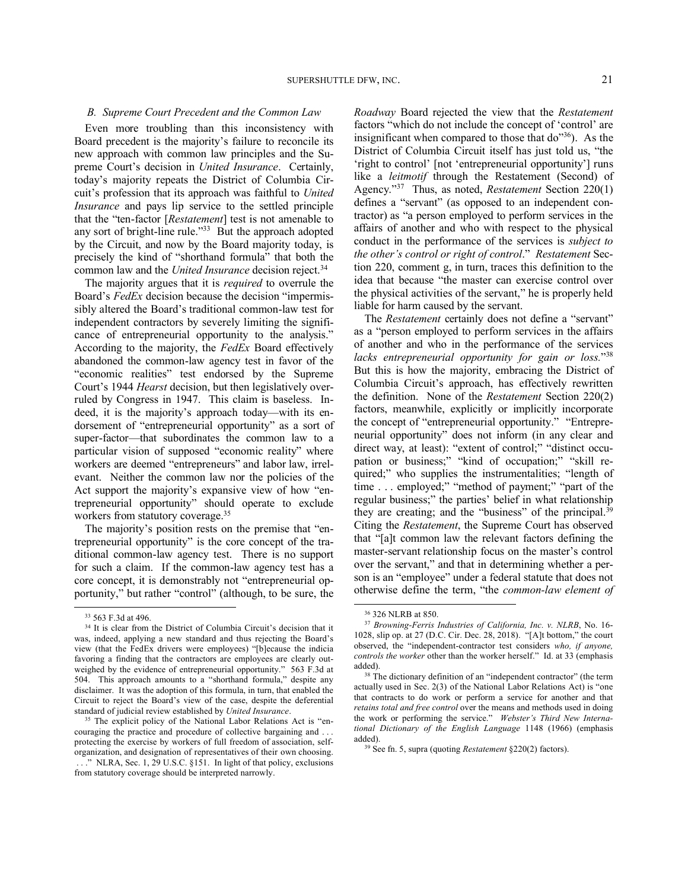#### *B. Supreme Court Precedent and the Common Law*

Even more troubling than this inconsistency with Board precedent is the majority's failure to reconcile its new approach with common law principles and the Supreme Court's decision in *United Insurance*. Certainly, today's majority repeats the District of Columbia Circuit's profession that its approach was faithful to *United Insurance* and pays lip service to the settled principle that the "ten-factor [*Restatement*] test is not amenable to any sort of bright-line rule."<sup>33</sup> But the approach adopted by the Circuit, and now by the Board majority today, is precisely the kind of "shorthand formula" that both the common law and the *United Insurance* decision reject.<sup>34</sup>

The majority argues that it is *required* to overrule the Board's *FedEx* decision because the decision "impermissibly altered the Board's traditional common-law test for independent contractors by severely limiting the significance of entrepreneurial opportunity to the analysis." According to the majority, the *FedEx* Board effectively abandoned the common-law agency test in favor of the "economic realities" test endorsed by the Supreme Court's 1944 *Hearst* decision, but then legislatively overruled by Congress in 1947. This claim is baseless. Indeed, it is the majority's approach today—with its endorsement of "entrepreneurial opportunity" as a sort of super-factor—that subordinates the common law to a particular vision of supposed "economic reality" where workers are deemed "entrepreneurs" and labor law, irrelevant. Neither the common law nor the policies of the Act support the majority's expansive view of how "entrepreneurial opportunity" should operate to exclude workers from statutory coverage.<sup>35</sup>

The majority's position rests on the premise that "entrepreneurial opportunity" is the core concept of the traditional common-law agency test. There is no support for such a claim. If the common-law agency test has a core concept, it is demonstrably not "entrepreneurial opportunity," but rather "control" (although, to be sure, the

1

*Roadway* Board rejected the view that the *Restatement*  factors "which do not include the concept of 'control' are insignificant when compared to those that do"<sup>36</sup>). As the District of Columbia Circuit itself has just told us, "the 'right to control' [not 'entrepreneurial opportunity'] runs like a *leitmotif* through the Restatement (Second) of Agency."<sup>37</sup> Thus, as noted, *Restatement* Section 220(1) defines a "servant" (as opposed to an independent contractor) as "a person employed to perform services in the affairs of another and who with respect to the physical conduct in the performance of the services is *subject to the other's control or right of control*." *Restatement* Section 220, comment g, in turn, traces this definition to the idea that because "the master can exercise control over the physical activities of the servant," he is properly held liable for harm caused by the servant.

The *Restatement* certainly does not define a "servant" as a "person employed to perform services in the affairs of another and who in the performance of the services *lacks entrepreneurial opportunity for gain or loss.*" 38 But this is how the majority, embracing the District of Columbia Circuit's approach, has effectively rewritten the definition. None of the *Restatement* Section 220(2) factors, meanwhile, explicitly or implicitly incorporate the concept of "entrepreneurial opportunity." "Entrepreneurial opportunity" does not inform (in any clear and direct way, at least): "extent of control;" "distinct occupation or business;" "kind of occupation;" "skill required;" who supplies the instrumentalities; "length of time . . . employed;" "method of payment;" "part of the regular business;" the parties' belief in what relationship they are creating; and the "business" of the principal.<sup>39</sup> Citing the *Restatement*, the Supreme Court has observed that "[a]t common law the relevant factors defining the master-servant relationship focus on the master's control over the servant," and that in determining whether a person is an "employee" under a federal statute that does not otherwise define the term, "the *common-law element of* 

l

<sup>39</sup> See fn. 5, supra (quoting *Restatement* §220(2) factors).

<sup>33</sup> 563 F.3d at 496.

<sup>34</sup> It is clear from the District of Columbia Circuit's decision that it was, indeed, applying a new standard and thus rejecting the Board's view (that the FedEx drivers were employees) "[b]ecause the indicia favoring a finding that the contractors are employees are clearly outweighed by the evidence of entrepreneurial opportunity." 563 F.3d at 504. This approach amounts to a "shorthand formula," despite any disclaimer. It was the adoption of this formula, in turn, that enabled the Circuit to reject the Board's view of the case, despite the deferential standard of judicial review established by *United Insurance*.

<sup>&</sup>lt;sup>35</sup> The explicit policy of the National Labor Relations Act is "encouraging the practice and procedure of collective bargaining and . . . protecting the exercise by workers of full freedom of association, selforganization, and designation of representatives of their own choosing. . . ." NLRA, Sec. 1, 29 U.S.C. §151. In light of that policy, exclusions from statutory coverage should be interpreted narrowly.

<sup>36</sup> 326 NLRB at 850.

<sup>37</sup> *Browning-Ferris Industries of California, Inc. v. NLRB*, No. 16- 1028, slip op. at 27 (D.C. Cir. Dec. 28, 2018). "[A]t bottom," the court observed, the "independent-contractor test considers *who, if anyone, controls the worker* other than the worker herself." Id. at 33 (emphasis added).

<sup>&</sup>lt;sup>38</sup> The dictionary definition of an "independent contractor" (the term actually used in Sec. 2(3) of the National Labor Relations Act) is "one that contracts to do work or perform a service for another and that *retains total and free control* over the means and methods used in doing the work or performing the service." *Webster's Third New International Dictionary of the English Language* 1148 (1966) (emphasis added).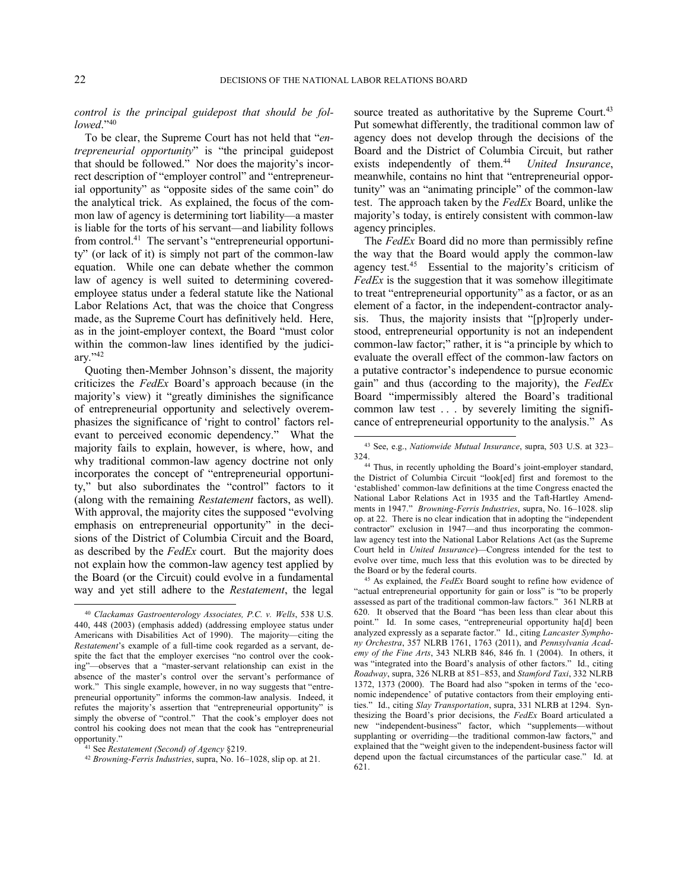*control is the principal guidepost that should be followed*."<sup>40</sup>

To be clear, the Supreme Court has not held that "*entrepreneurial opportunity*" is "the principal guidepost that should be followed." Nor does the majority's incorrect description of "employer control" and "entrepreneurial opportunity" as "opposite sides of the same coin" do the analytical trick. As explained, the focus of the common law of agency is determining tort liability—a master is liable for the torts of his servant—and liability follows from control.<sup>41</sup> The servant's "entrepreneurial opportunity" (or lack of it) is simply not part of the common-law equation. While one can debate whether the common law of agency is well suited to determining coveredemployee status under a federal statute like the National Labor Relations Act, that was the choice that Congress made, as the Supreme Court has definitively held. Here, as in the joint-employer context, the Board "must color within the common-law lines identified by the judiciary."<sup>42</sup>

Quoting then-Member Johnson's dissent, the majority criticizes the *FedEx* Board's approach because (in the majority's view) it "greatly diminishes the significance of entrepreneurial opportunity and selectively overemphasizes the significance of 'right to control' factors relevant to perceived economic dependency." What the majority fails to explain, however, is where, how, and why traditional common-law agency doctrine not only incorporates the concept of "entrepreneurial opportunity," but also subordinates the "control" factors to it (along with the remaining *Restatement* factors, as well). With approval, the majority cites the supposed "evolving emphasis on entrepreneurial opportunity" in the decisions of the District of Columbia Circuit and the Board, as described by the *FedEx* court. But the majority does not explain how the common-law agency test applied by the Board (or the Circuit) could evolve in a fundamental way and yet still adhere to the *Restatement*, the legal

source treated as authoritative by the Supreme Court.<sup>43</sup> Put somewhat differently, the traditional common law of agency does not develop through the decisions of the Board and the District of Columbia Circuit, but rather exists independently of them.<sup>44</sup> *United Insurance*, meanwhile, contains no hint that "entrepreneurial opportunity" was an "animating principle" of the common-law test. The approach taken by the *FedEx* Board, unlike the majority's today, is entirely consistent with common-law agency principles.

The *FedEx* Board did no more than permissibly refine the way that the Board would apply the common-law agency test.<sup>45</sup> Essential to the majority's criticism of *FedEx* is the suggestion that it was somehow illegitimate to treat "entrepreneurial opportunity" as a factor, or as an element of a factor, in the independent-contractor analysis. Thus, the majority insists that "[p]roperly understood, entrepreneurial opportunity is not an independent common-law factor;" rather, it is "a principle by which to evaluate the overall effect of the common-law factors on a putative contractor's independence to pursue economic gain" and thus (according to the majority), the *FedEx* Board "impermissibly altered the Board's traditional common law test . . . by severely limiting the significance of entrepreneurial opportunity to the analysis." As

<sup>45</sup> As explained, the *FedEx* Board sought to refine how evidence of "actual entrepreneurial opportunity for gain or loss" is "to be properly assessed as part of the traditional common-law factors." 361 NLRB at 620. It observed that the Board "has been less than clear about this point." Id. In some cases, "entrepreneurial opportunity ha[d] been analyzed expressly as a separate factor." Id., citing *Lancaster Symphony Orchestra*, 357 NLRB 1761, 1763 (2011), and *Pennsylvania Academy of the Fine Arts*, 343 NLRB 846, 846 fn. 1 (2004). In others, it was "integrated into the Board's analysis of other factors." Id., citing *Roadway*, supra, 326 NLRB at 851–853, and *Stamford Taxi*, 332 NLRB 1372, 1373 (2000). The Board had also "spoken in terms of the 'economic independence' of putative contactors from their employing entities." Id., citing *Slay Transportation*, supra, 331 NLRB at 1294. Synthesizing the Board's prior decisions, the *FedEx* Board articulated a new "independent-business" factor, which "supplements—without supplanting or overriding—the traditional common-law factors," and explained that the "weight given to the independent-business factor will depend upon the factual circumstances of the particular case." Id. at 621.

-

<sup>&</sup>lt;sup>40</sup> Clackamas Gastroenterology Associates, P.C. v. Wells, 538 U.S. 440, 448 (2003) (emphasis added) (addressing employee status under Americans with Disabilities Act of 1990). The majority—citing the *Restatement*'s example of a full-time cook regarded as a servant, despite the fact that the employer exercises "no control over the cooking"—observes that a "master-servant relationship can exist in the absence of the master's control over the servant's performance of work." This single example, however, in no way suggests that "entrepreneurial opportunity" informs the common-law analysis. Indeed, it refutes the majority's assertion that "entrepreneurial opportunity" is simply the obverse of "control." That the cook's employer does not control his cooking does not mean that the cook has "entrepreneurial opportunity."

<sup>41</sup> See *Restatement (Second) of Agency* §219.

<sup>42</sup> *Browning-Ferris Industries*, supra, No. 16–1028, slip op. at 21.

<sup>43</sup> See, e.g., *Nationwide Mutual Insurance*, supra, 503 U.S. at 323– 324.

<sup>44</sup> Thus, in recently upholding the Board's joint-employer standard, the District of Columbia Circuit "look[ed] first and foremost to the 'established' common-law definitions at the time Congress enacted the National Labor Relations Act in 1935 and the Taft-Hartley Amendments in 1947." *Browning-Ferris Industries*, supra, No. 16–1028. slip op. at 22. There is no clear indication that in adopting the "independent contractor" exclusion in 1947—and thus incorporating the commonlaw agency test into the National Labor Relations Act (as the Supreme Court held in *United Insurance*)—Congress intended for the test to evolve over time, much less that this evolution was to be directed by the Board or by the federal courts.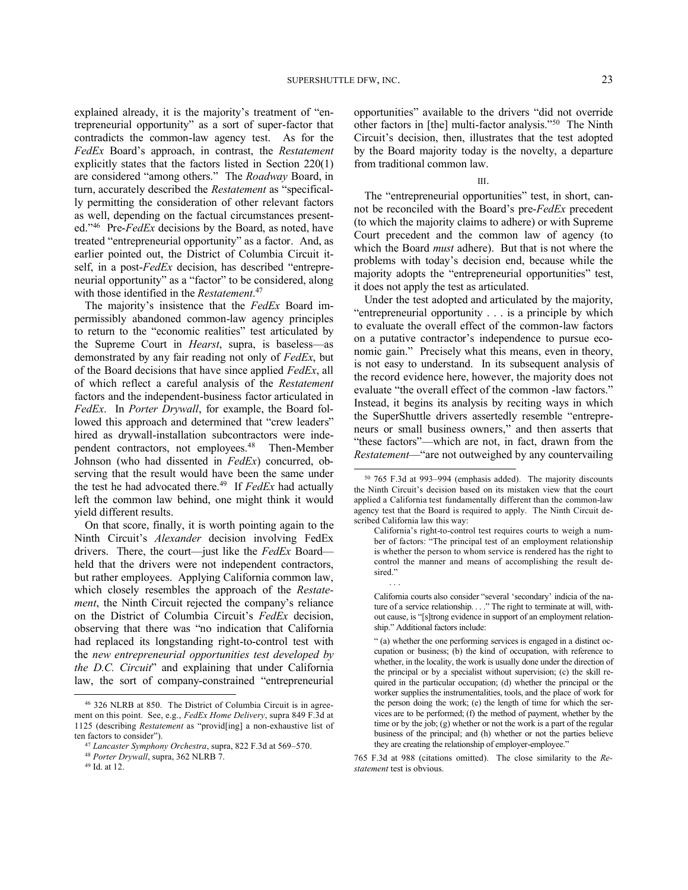explained already, it is the majority's treatment of "entrepreneurial opportunity" as a sort of super-factor that contradicts the common-law agency test. As for the *FedEx* Board's approach, in contrast, the *Restatement* explicitly states that the factors listed in Section 220(1) are considered "among others." The *Roadway* Board, in turn, accurately described the *Restatement* as "specifically permitting the consideration of other relevant factors as well, depending on the factual circumstances presented."<sup>46</sup> Pre-*FedEx* decisions by the Board, as noted, have treated "entrepreneurial opportunity" as a factor. And, as earlier pointed out, the District of Columbia Circuit itself, in a post-*FedEx* decision, has described "entrepreneurial opportunity" as a "factor" to be considered, along with those identified in the *Restatement*. 47

The majority's insistence that the *FedEx* Board impermissibly abandoned common-law agency principles to return to the "economic realities" test articulated by the Supreme Court in *Hearst*, supra, is baseless—as demonstrated by any fair reading not only of *FedEx*, but of the Board decisions that have since applied *FedEx*, all of which reflect a careful analysis of the *Restatement*  factors and the independent-business factor articulated in *FedEx*. In *Porter Drywall*, for example, the Board followed this approach and determined that "crew leaders" hired as drywall-installation subcontractors were independent contractors, not employees.<sup>48</sup> Then-Member Johnson (who had dissented in *FedEx*) concurred, observing that the result would have been the same under the test he had advocated there.<sup>49</sup> If *FedEx* had actually left the common law behind, one might think it would yield different results.

On that score, finally, it is worth pointing again to the Ninth Circuit's *Alexander* decision involving FedEx drivers. There, the court—just like the *FedEx* Board held that the drivers were not independent contractors, but rather employees. Applying California common law, which closely resembles the approach of the *Restatement*, the Ninth Circuit rejected the company's reliance on the District of Columbia Circuit's *FedEx* decision, observing that there was "no indication that California had replaced its longstanding right-to-control test with the *new entrepreneurial opportunities test developed by the D.C. Circuit*" and explaining that under California law, the sort of company-constrained "entrepreneurial

-

opportunities" available to the drivers "did not override other factors in [the] multi-factor analysis."<sup>50</sup> The Ninth Circuit's decision, then, illustrates that the test adopted by the Board majority today is the novelty, a departure from traditional common law.

#### III.

The "entrepreneurial opportunities" test, in short, cannot be reconciled with the Board's pre-*FedEx* precedent (to which the majority claims to adhere) or with Supreme Court precedent and the common law of agency (to which the Board *must* adhere). But that is not where the problems with today's decision end, because while the majority adopts the "entrepreneurial opportunities" test, it does not apply the test as articulated.

Under the test adopted and articulated by the majority, "entrepreneurial opportunity . . . is a principle by which to evaluate the overall effect of the common-law factors on a putative contractor's independence to pursue economic gain." Precisely what this means, even in theory, is not easy to understand. In its subsequent analysis of the record evidence here, however, the majority does not evaluate "the overall effect of the common -law factors." Instead, it begins its analysis by reciting ways in which the SuperShuttle drivers assertedly resemble "entrepreneurs or small business owners," and then asserts that "these factors"—which are not, in fact, drawn from the *Restatement*—"are not outweighed by any countervailing

<sup>46</sup> 326 NLRB at 850. The District of Columbia Circuit is in agreement on this point. See, e.g., *FedEx Home Delivery*, supra 849 F.3d at 1125 (describing *Restatement* as "provid[ing] a non-exhaustive list of ten factors to consider").

<sup>47</sup> *Lancaster Symphony Orchestra*, supra, 822 F.3d at 569–570.

<sup>48</sup> *Porter Drywall*, supra, 362 NLRB 7.

<sup>49</sup> Id. at 12.

<sup>50</sup> 765 F.3d at 993–994 (emphasis added). The majority discounts the Ninth Circuit's decision based on its mistaken view that the court applied a California test fundamentally different than the common-law agency test that the Board is required to apply. The Ninth Circuit described California law this way:

California's right-to-control test requires courts to weigh a number of factors: "The principal test of an employment relationship is whether the person to whom service is rendered has the right to control the manner and means of accomplishing the result desired." . . .

California courts also consider "several 'secondary' indicia of the nature of a service relationship. . . ." The right to terminate at will, without cause, is "[s]trong evidence in support of an employment relationship." Additional factors include:

<sup>&</sup>quot; (a) whether the one performing services is engaged in a distinct occupation or business; (b) the kind of occupation, with reference to whether, in the locality, the work is usually done under the direction of the principal or by a specialist without supervision; (c) the skill required in the particular occupation; (d) whether the principal or the worker supplies the instrumentalities, tools, and the place of work for the person doing the work; (e) the length of time for which the services are to be performed; (f) the method of payment, whether by the time or by the job; (g) whether or not the work is a part of the regular business of the principal; and (h) whether or not the parties believe they are creating the relationship of employer-employee."

<sup>765</sup> F.3d at 988 (citations omitted). The close similarity to the *Restatement* test is obvious.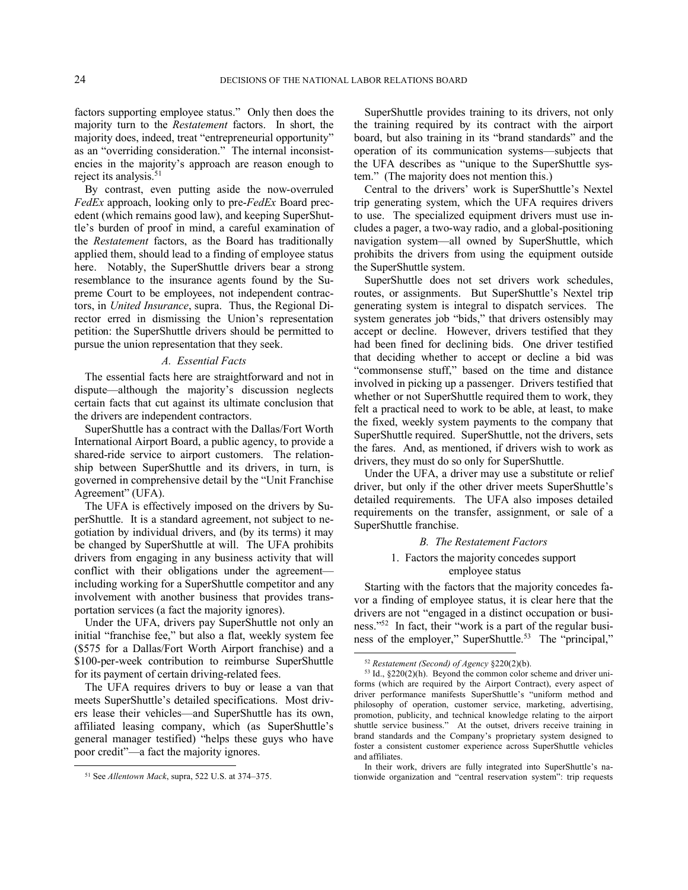factors supporting employee status." Only then does the majority turn to the *Restatement* factors. In short, the majority does, indeed, treat "entrepreneurial opportunity" as an "overriding consideration." The internal inconsistencies in the majority's approach are reason enough to reject its analysis.<sup>51</sup>

By contrast, even putting aside the now-overruled *FedEx* approach, looking only to pre-*FedEx* Board precedent (which remains good law), and keeping SuperShuttle's burden of proof in mind, a careful examination of the *Restatement* factors, as the Board has traditionally applied them, should lead to a finding of employee status here. Notably, the SuperShuttle drivers bear a strong resemblance to the insurance agents found by the Supreme Court to be employees, not independent contractors, in *United Insurance*, supra. Thus, the Regional Director erred in dismissing the Union's representation petition: the SuperShuttle drivers should be permitted to pursue the union representation that they seek.

### *A. Essential Facts*

The essential facts here are straightforward and not in dispute—although the majority's discussion neglects certain facts that cut against its ultimate conclusion that the drivers are independent contractors.

SuperShuttle has a contract with the Dallas/Fort Worth International Airport Board, a public agency, to provide a shared-ride service to airport customers. The relationship between SuperShuttle and its drivers, in turn, is governed in comprehensive detail by the "Unit Franchise Agreement" (UFA).

The UFA is effectively imposed on the drivers by SuperShuttle. It is a standard agreement, not subject to negotiation by individual drivers, and (by its terms) it may be changed by SuperShuttle at will. The UFA prohibits drivers from engaging in any business activity that will conflict with their obligations under the agreement including working for a SuperShuttle competitor and any involvement with another business that provides transportation services (a fact the majority ignores).

Under the UFA, drivers pay SuperShuttle not only an initial "franchise fee," but also a flat, weekly system fee (\$575 for a Dallas/Fort Worth Airport franchise) and a \$100-per-week contribution to reimburse SuperShuttle for its payment of certain driving-related fees.

The UFA requires drivers to buy or lease a van that meets SuperShuttle's detailed specifications. Most drivers lease their vehicles—and SuperShuttle has its own, affiliated leasing company, which (as SuperShuttle's general manager testified) "helps these guys who have poor credit"—a fact the majority ignores.

-

SuperShuttle provides training to its drivers, not only the training required by its contract with the airport board, but also training in its "brand standards" and the operation of its communication systems—subjects that the UFA describes as "unique to the SuperShuttle system." (The majority does not mention this.)

Central to the drivers' work is SuperShuttle's Nextel trip generating system, which the UFA requires drivers to use. The specialized equipment drivers must use includes a pager, a two-way radio, and a global-positioning navigation system—all owned by SuperShuttle, which prohibits the drivers from using the equipment outside the SuperShuttle system.

SuperShuttle does not set drivers work schedules, routes, or assignments. But SuperShuttle's Nextel trip generating system is integral to dispatch services. The system generates job "bids," that drivers ostensibly may accept or decline. However, drivers testified that they had been fined for declining bids. One driver testified that deciding whether to accept or decline a bid was "commonsense stuff," based on the time and distance involved in picking up a passenger. Drivers testified that whether or not SuperShuttle required them to work, they felt a practical need to work to be able, at least, to make the fixed, weekly system payments to the company that SuperShuttle required. SuperShuttle, not the drivers, sets the fares. And, as mentioned, if drivers wish to work as drivers, they must do so only for SuperShuttle.

Under the UFA, a driver may use a substitute or relief driver, but only if the other driver meets SuperShuttle's detailed requirements. The UFA also imposes detailed requirements on the transfer, assignment, or sale of a SuperShuttle franchise.

#### *B. The Restatement Factors*

### 1. Factors the majority concedes support employee status

Starting with the factors that the majority concedes favor a finding of employee status, it is clear here that the drivers are not "engaged in a distinct occupation or business."<sup>52</sup> In fact, their "work is a part of the regular business of the employer," SuperShuttle.<sup>53</sup> The "principal," -

<sup>51</sup> See *Allentown Mack*, supra, 522 U.S. at 374–375.

<sup>52</sup> *Restatement (Second) of Agency* §220(2)(b).

 $53$  Id.,  $\S 220(2)$ (h). Beyond the common color scheme and driver uniforms (which are required by the Airport Contract), every aspect of driver performance manifests SuperShuttle's "uniform method and philosophy of operation, customer service, marketing, advertising, promotion, publicity, and technical knowledge relating to the airport shuttle service business." At the outset, drivers receive training in brand standards and the Company's proprietary system designed to foster a consistent customer experience across SuperShuttle vehicles and affiliates.

In their work, drivers are fully integrated into SuperShuttle's nationwide organization and "central reservation system": trip requests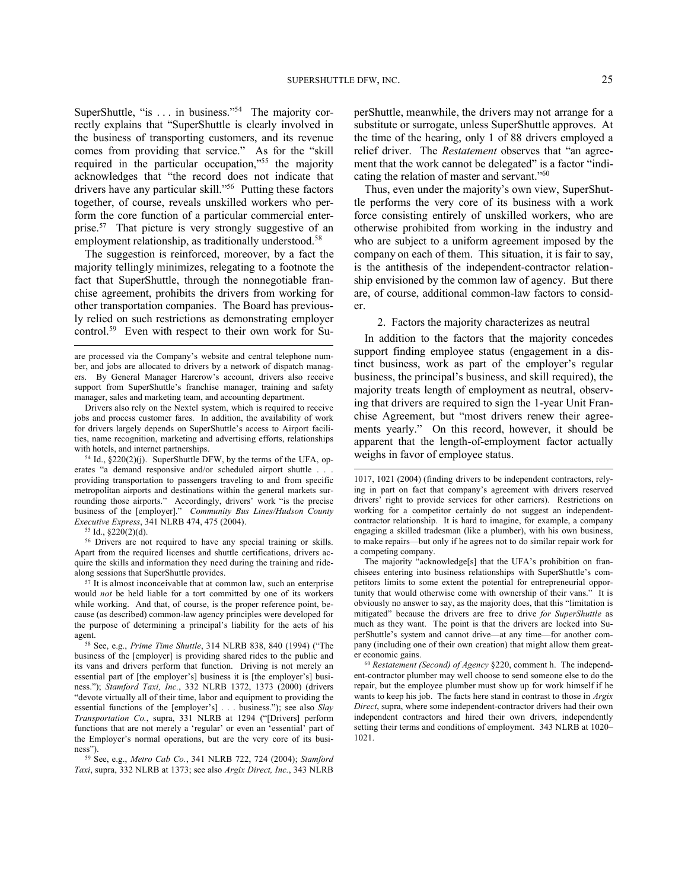SuperShuttle, "is . . . in business."<sup>54</sup> The majority correctly explains that "SuperShuttle is clearly involved in the business of transporting customers, and its revenue comes from providing that service." As for the "skill required in the particular occupation,"<sup>55</sup> the majority acknowledges that "the record does not indicate that drivers have any particular skill."<sup>56</sup> Putting these factors together, of course, reveals unskilled workers who perform the core function of a particular commercial enterprise.<sup>57</sup> That picture is very strongly suggestive of an employment relationship, as traditionally understood.<sup>58</sup>

The suggestion is reinforced, moreover, by a fact the majority tellingly minimizes, relegating to a footnote the fact that SuperShuttle, through the nonnegotiable franchise agreement, prohibits the drivers from working for other transportation companies. The Board has previously relied on such restrictions as demonstrating employer control.<sup>59</sup> Even with respect to their own work for Su-

 $54$  Id.,  $\S220(2)(i)$ . SuperShuttle DFW, by the terms of the UFA, operates "a demand responsive and/or scheduled airport shuttle . . . providing transportation to passengers traveling to and from specific metropolitan airports and destinations within the general markets surrounding those airports." Accordingly, drivers' work "is the precise business of the [employer]." *Community Bus Lines/Hudson County Executive Express*, 341 NLRB 474, 475 (2004).

<sup>55</sup> Id., §220(2)(d).

l

<sup>56</sup> Drivers are not required to have any special training or skills. Apart from the required licenses and shuttle certifications, drivers acquire the skills and information they need during the training and ridealong sessions that SuperShuttle provides.

<sup>57</sup> It is almost inconceivable that at common law, such an enterprise would *not* be held liable for a tort committed by one of its workers while working. And that, of course, is the proper reference point, because (as described) common-law agency principles were developed for the purpose of determining a principal's liability for the acts of his agent.

<sup>58</sup> See, e.g., *Prime Time Shuttle*, 314 NLRB 838, 840 (1994) ("The business of the [employer] is providing shared rides to the public and its vans and drivers perform that function. Driving is not merely an essential part of [the employer's] business it is [the employer's] business."); *Stamford Taxi, Inc.*, 332 NLRB 1372, 1373 (2000) (drivers "devote virtually all of their time, labor and equipment to providing the essential functions of the [employer's] . . . business."); see also *Slay Transportation Co.*, supra, 331 NLRB at 1294 ("[Drivers] perform functions that are not merely a 'regular' or even an 'essential' part of the Employer's normal operations, but are the very core of its business").

<sup>59</sup> See, e.g., *Metro Cab Co.*, 341 NLRB 722, 724 (2004); *Stamford Taxi*, supra, 332 NLRB at 1373; see also *Argix Direct, Inc.*, 343 NLRB perShuttle, meanwhile, the drivers may not arrange for a substitute or surrogate, unless SuperShuttle approves. At the time of the hearing, only 1 of 88 drivers employed a relief driver. The *Restatement* observes that "an agreement that the work cannot be delegated" is a factor "indicating the relation of master and servant."<sup>60</sup>

Thus, even under the majority's own view, SuperShuttle performs the very core of its business with a work force consisting entirely of unskilled workers, who are otherwise prohibited from working in the industry and who are subject to a uniform agreement imposed by the company on each of them. This situation, it is fair to say, is the antithesis of the independent-contractor relationship envisioned by the common law of agency. But there are, of course, additional common-law factors to consider.

2. Factors the majority characterizes as neutral

In addition to the factors that the majority concedes support finding employee status (engagement in a distinct business, work as part of the employer's regular business, the principal's business, and skill required), the majority treats length of employment as neutral, observing that drivers are required to sign the 1-year Unit Franchise Agreement, but "most drivers renew their agreements yearly." On this record, however, it should be apparent that the length-of-employment factor actually weighs in favor of employee status.

The majority "acknowledge[s] that the UFA's prohibition on franchisees entering into business relationships with SuperShuttle's competitors limits to some extent the potential for entrepreneurial opportunity that would otherwise come with ownership of their vans." obviously no answer to say, as the majority does, that this "limitation is mitigated" because the drivers are free to drive *for SuperShuttle* as much as they want. The point is that the drivers are locked into SuperShuttle's system and cannot drive—at any time—for another company (including one of their own creation) that might allow them greater economic gains.

<sup>60</sup> *Restatement (Second) of Agency* §220, comment h. The independent-contractor plumber may well choose to send someone else to do the repair, but the employee plumber must show up for work himself if he wants to keep his job. The facts here stand in contrast to those in *Argix Direct*, supra, where some independent-contractor drivers had their own independent contractors and hired their own drivers, independently setting their terms and conditions of employment. 343 NLRB at 1020– 1021.

are processed via the Company's website and central telephone number, and jobs are allocated to drivers by a network of dispatch managers. By General Manager Harcrow's account, drivers also receive support from SuperShuttle's franchise manager, training and safety manager, sales and marketing team, and accounting department.

Drivers also rely on the Nextel system, which is required to receive jobs and process customer fares. In addition, the availability of work for drivers largely depends on SuperShuttle's access to Airport facilities, name recognition, marketing and advertising efforts, relationships with hotels, and internet partnerships.

<sup>1017, 1021 (2004) (</sup>finding drivers to be independent contractors, relying in part on fact that company's agreement with drivers reserved drivers' right to provide services for other carriers). Restrictions on working for a competitor certainly do not suggest an independentcontractor relationship. It is hard to imagine, for example, a company engaging a skilled tradesman (like a plumber), with his own business, to make repairs—but only if he agrees not to do similar repair work for a competing company.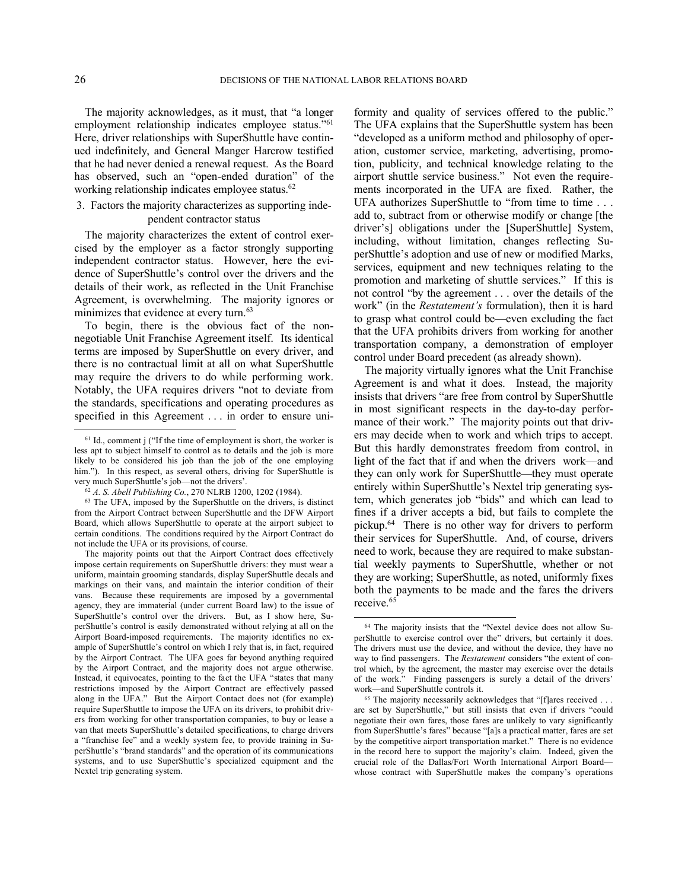-

l

The majority acknowledges, as it must, that "a longer employment relationship indicates employee status."<sup>61</sup> Here, driver relationships with SuperShuttle have continued indefinitely, and General Manger Harcrow testified that he had never denied a renewal request. As the Board has observed, such an "open-ended duration" of the working relationship indicates employee status.<sup>62</sup>

### 3. Factors the majority characterizes as supporting independent contractor status

The majority characterizes the extent of control exercised by the employer as a factor strongly supporting independent contractor status. However, here the evidence of SuperShuttle's control over the drivers and the details of their work, as reflected in the Unit Franchise Agreement, is overwhelming. The majority ignores or minimizes that evidence at every turn.<sup>63</sup>

To begin, there is the obvious fact of the nonnegotiable Unit Franchise Agreement itself. Its identical terms are imposed by SuperShuttle on every driver, and there is no contractual limit at all on what SuperShuttle may require the drivers to do while performing work. Notably, the UFA requires drivers "not to deviate from the standards, specifications and operating procedures as specified in this Agreement . . . in order to ensure uniformity and quality of services offered to the public." The UFA explains that the SuperShuttle system has been "developed as a uniform method and philosophy of operation, customer service, marketing, advertising, promotion, publicity, and technical knowledge relating to the airport shuttle service business." Not even the requirements incorporated in the UFA are fixed. Rather, the UFA authorizes SuperShuttle to "from time to time . . . add to, subtract from or otherwise modify or change [the driver's] obligations under the [SuperShuttle] System, including, without limitation, changes reflecting SuperShuttle's adoption and use of new or modified Marks, services, equipment and new techniques relating to the promotion and marketing of shuttle services." If this is not control "by the agreement . . . over the details of the work" (in the *Restatement's* formulation), then it is hard to grasp what control could be—even excluding the fact that the UFA prohibits drivers from working for another transportation company, a demonstration of employer control under Board precedent (as already shown).

The majority virtually ignores what the Unit Franchise Agreement is and what it does. Instead, the majority insists that drivers "are free from control by SuperShuttle in most significant respects in the day-to-day performance of their work." The majority points out that drivers may decide when to work and which trips to accept. But this hardly demonstrates freedom from control, in light of the fact that if and when the drivers work—and they can only work for SuperShuttle—they must operate entirely within SuperShuttle's Nextel trip generating system, which generates job "bids" and which can lead to fines if a driver accepts a bid, but fails to complete the pickup.<sup>64</sup> There is no other way for drivers to perform their services for SuperShuttle. And, of course, drivers need to work, because they are required to make substantial weekly payments to SuperShuttle, whether or not they are working; SuperShuttle, as noted, uniformly fixes both the payments to be made and the fares the drivers receive.<sup>65</sup>

<sup>61</sup> Id., comment j ("If the time of employment is short, the worker is less apt to subject himself to control as to details and the job is more likely to be considered his job than the job of the one employing him."). In this respect, as several others, driving for SuperShuttle is very much SuperShuttle's job—not the drivers'.

<sup>62</sup> *A. S. Abell Publishing Co.*, 270 NLRB 1200, 1202 (1984).

<sup>63</sup> The UFA, imposed by the SuperShuttle on the drivers, is distinct from the Airport Contract between SuperShuttle and the DFW Airport Board, which allows SuperShuttle to operate at the airport subject to certain conditions. The conditions required by the Airport Contract do not include the UFA or its provisions, of course.

The majority points out that the Airport Contract does effectively impose certain requirements on SuperShuttle drivers: they must wear a uniform, maintain grooming standards, display SuperShuttle decals and markings on their vans, and maintain the interior condition of their vans. Because these requirements are imposed by a governmental agency, they are immaterial (under current Board law) to the issue of SuperShuttle's control over the drivers. But, as I show here, SuperShuttle's control is easily demonstrated without relying at all on the Airport Board-imposed requirements. The majority identifies no example of SuperShuttle's control on which I rely that is, in fact, required by the Airport Contract. The UFA goes far beyond anything required by the Airport Contract, and the majority does not argue otherwise. Instead, it equivocates, pointing to the fact the UFA "states that many restrictions imposed by the Airport Contract are effectively passed along in the UFA." But the Airport Contact does not (for example) require SuperShuttle to impose the UFA on its drivers, to prohibit drivers from working for other transportation companies, to buy or lease a van that meets SuperShuttle's detailed specifications, to charge drivers a "franchise fee" and a weekly system fee, to provide training in SuperShuttle's "brand standards" and the operation of its communications systems, and to use SuperShuttle's specialized equipment and the Nextel trip generating system.

<sup>64</sup> The majority insists that the "Nextel device does not allow SuperShuttle to exercise control over the" drivers, but certainly it does. The drivers must use the device, and without the device, they have no way to find passengers. The *Restatement* considers "the extent of control which, by the agreement, the master may exercise over the details of the work." Finding passengers is surely a detail of the drivers' work—and SuperShuttle controls it.

<sup>&</sup>lt;sup>65</sup> The majority necessarily acknowledges that "[f]ares received . . . are set by SuperShuttle," but still insists that even if drivers "could negotiate their own fares, those fares are unlikely to vary significantly from SuperShuttle's fares" because "[a]s a practical matter, fares are set by the competitive airport transportation market." There is no evidence in the record here to support the majority's claim. Indeed, given the crucial role of the Dallas/Fort Worth International Airport Board whose contract with SuperShuttle makes the company's operations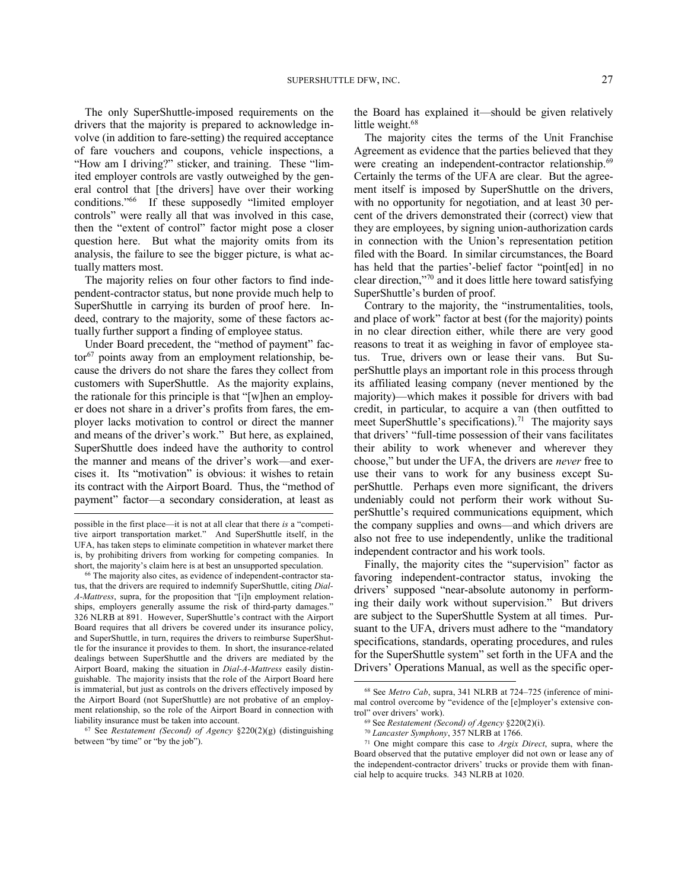The only SuperShuttle-imposed requirements on the drivers that the majority is prepared to acknowledge involve (in addition to fare-setting) the required acceptance of fare vouchers and coupons, vehicle inspections, a "How am I driving?" sticker, and training. These "limited employer controls are vastly outweighed by the general control that [the drivers] have over their working conditions."<sup>66</sup> If these supposedly "limited employer controls" were really all that was involved in this case, then the "extent of control" factor might pose a closer question here. But what the majority omits from its analysis, the failure to see the bigger picture, is what actually matters most.

The majority relies on four other factors to find independent-contractor status, but none provide much help to SuperShuttle in carrying its burden of proof here. Indeed, contrary to the majority, some of these factors actually further support a finding of employee status.

Under Board precedent, the "method of payment" fac $tor<sup>67</sup>$  points away from an employment relationship, because the drivers do not share the fares they collect from customers with SuperShuttle. As the majority explains, the rationale for this principle is that "[w]hen an employer does not share in a driver's profits from fares, the employer lacks motivation to control or direct the manner and means of the driver's work." But here, as explained, SuperShuttle does indeed have the authority to control the manner and means of the driver's work—and exercises it. Its "motivation" is obvious: it wishes to retain its contract with the Airport Board. Thus, the "method of payment" factor—a secondary consideration, at least as

l

<sup>67</sup> See *Restatement (Second) of Agency* §220(2)(g) (distinguishing between "by time" or "by the job").

the Board has explained it—should be given relatively little weight.<sup>68</sup>

The majority cites the terms of the Unit Franchise Agreement as evidence that the parties believed that they were creating an independent-contractor relationship.<sup>69</sup> Certainly the terms of the UFA are clear. But the agreement itself is imposed by SuperShuttle on the drivers, with no opportunity for negotiation, and at least 30 percent of the drivers demonstrated their (correct) view that they are employees, by signing union-authorization cards in connection with the Union's representation petition filed with the Board. In similar circumstances, the Board has held that the parties'-belief factor "point[ed] in no clear direction,"<sup>70</sup> and it does little here toward satisfying SuperShuttle's burden of proof.

Contrary to the majority, the "instrumentalities, tools, and place of work" factor at best (for the majority) points in no clear direction either, while there are very good reasons to treat it as weighing in favor of employee status. True, drivers own or lease their vans. But SuperShuttle plays an important role in this process through its affiliated leasing company (never mentioned by the majority)—which makes it possible for drivers with bad credit, in particular, to acquire a van (then outfitted to meet SuperShuttle's specifications).<sup>71</sup> The majority says that drivers' "full-time possession of their vans facilitates their ability to work whenever and wherever they choose," but under the UFA, the drivers are *never* free to use their vans to work for any business except SuperShuttle. Perhaps even more significant, the drivers undeniably could not perform their work without SuperShuttle's required communications equipment, which the company supplies and owns—and which drivers are also not free to use independently, unlike the traditional independent contractor and his work tools.

Finally, the majority cites the "supervision" factor as favoring independent-contractor status, invoking the drivers' supposed "near-absolute autonomy in performing their daily work without supervision." But drivers are subject to the SuperShuttle System at all times. Pursuant to the UFA, drivers must adhere to the "mandatory specifications, standards, operating procedures, and rules for the SuperShuttle system" set forth in the UFA and the Drivers' Operations Manual, as well as the specific oper-

l

possible in the first place—it is not at all clear that there *is* a "competitive airport transportation market." And SuperShuttle itself, in the UFA, has taken steps to eliminate competition in whatever market there is, by prohibiting drivers from working for competing companies. In short, the majority's claim here is at best an unsupported speculation.

<sup>66</sup> The majority also cites, as evidence of independent-contractor status, that the drivers are required to indemnify SuperShuttle, citing *Dial-A-Mattress*, supra, for the proposition that "[i]n employment relationships, employers generally assume the risk of third-party damages." 326 NLRB at 891. However, SuperShuttle's contract with the Airport Board requires that all drivers be covered under its insurance policy, and SuperShuttle, in turn, requires the drivers to reimburse SuperShuttle for the insurance it provides to them. In short, the insurance-related dealings between SuperShuttle and the drivers are mediated by the Airport Board, making the situation in *Dial-A-Mattress* easily distinguishable. The majority insists that the role of the Airport Board here is immaterial, but just as controls on the drivers effectively imposed by the Airport Board (not SuperShuttle) are not probative of an employment relationship, so the role of the Airport Board in connection with liability insurance must be taken into account.

<sup>68</sup> See *Metro Cab*, supra, 341 NLRB at 724–725 (inference of minimal control overcome by "evidence of the [e]mployer's extensive control" over drivers' work).

<sup>69</sup> See *Restatement (Second) of Agency* §220(2)(i).

<sup>70</sup> *Lancaster Symphony*, 357 NLRB at 1766.

<sup>71</sup> One might compare this case to *Argix Direct*, supra, where the Board observed that the putative employer did not own or lease any of the independent-contractor drivers' trucks or provide them with financial help to acquire trucks. 343 NLRB at 1020.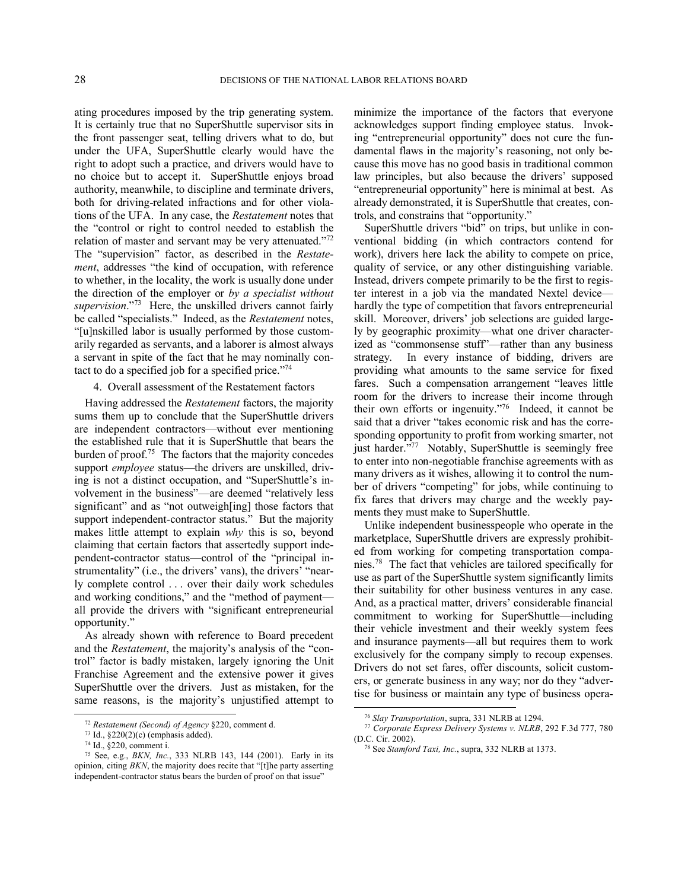ating procedures imposed by the trip generating system. It is certainly true that no SuperShuttle supervisor sits in the front passenger seat, telling drivers what to do, but under the UFA, SuperShuttle clearly would have the right to adopt such a practice, and drivers would have to no choice but to accept it. SuperShuttle enjoys broad authority, meanwhile, to discipline and terminate drivers, both for driving-related infractions and for other violations of the UFA. In any case, the *Restatement* notes that the "control or right to control needed to establish the relation of master and servant may be very attenuated."72 The "supervision" factor, as described in the *Restatement*, addresses "the kind of occupation, with reference to whether, in the locality, the work is usually done under the direction of the employer or *by a specialist without*  supervision."<sup>73</sup> Here, the unskilled drivers cannot fairly be called "specialists." Indeed, as the *Restatement* notes, "[u]nskilled labor is usually performed by those customarily regarded as servants, and a laborer is almost always a servant in spite of the fact that he may nominally contact to do a specified job for a specified price. $174$ 

#### 4. Overall assessment of the Restatement factors

Having addressed the *Restatement* factors, the majority sums them up to conclude that the SuperShuttle drivers are independent contractors—without ever mentioning the established rule that it is SuperShuttle that bears the burden of proof.<sup>75</sup> The factors that the majority concedes support *employee* status—the drivers are unskilled, driving is not a distinct occupation, and "SuperShuttle's involvement in the business"—are deemed "relatively less significant" and as "not outweigh[ing] those factors that support independent-contractor status." But the majority makes little attempt to explain *why* this is so, beyond claiming that certain factors that assertedly support independent-contractor status—control of the "principal instrumentality" (i.e., the drivers' vans), the drivers' "nearly complete control . . . over their daily work schedules and working conditions," and the "method of payment all provide the drivers with "significant entrepreneurial opportunity."

As already shown with reference to Board precedent and the *Restatement*, the majority's analysis of the "control" factor is badly mistaken, largely ignoring the Unit Franchise Agreement and the extensive power it gives SuperShuttle over the drivers. Just as mistaken, for the same reasons, is the majority's unjustified attempt to

-

minimize the importance of the factors that everyone acknowledges support finding employee status. Invoking "entrepreneurial opportunity" does not cure the fundamental flaws in the majority's reasoning, not only because this move has no good basis in traditional common law principles, but also because the drivers' supposed "entrepreneurial opportunity" here is minimal at best. As already demonstrated, it is SuperShuttle that creates, controls, and constrains that "opportunity."

SuperShuttle drivers "bid" on trips, but unlike in conventional bidding (in which contractors contend for work), drivers here lack the ability to compete on price, quality of service, or any other distinguishing variable. Instead, drivers compete primarily to be the first to register interest in a job via the mandated Nextel device hardly the type of competition that favors entrepreneurial skill. Moreover, drivers' job selections are guided largely by geographic proximity—what one driver characterized as "commonsense stuff"—rather than any business strategy. In every instance of bidding, drivers are providing what amounts to the same service for fixed fares. Such a compensation arrangement "leaves little room for the drivers to increase their income through their own efforts or ingenuity."<sup>76</sup> Indeed, it cannot be said that a driver "takes economic risk and has the corresponding opportunity to profit from working smarter, not just harder."<sup>77</sup> Notably, SuperShuttle is seemingly free to enter into non-negotiable franchise agreements with as many drivers as it wishes, allowing it to control the number of drivers "competing" for jobs, while continuing to fix fares that drivers may charge and the weekly payments they must make to SuperShuttle.

Unlike independent businesspeople who operate in the marketplace, SuperShuttle drivers are expressly prohibited from working for competing transportation companies.<sup>78</sup> The fact that vehicles are tailored specifically for use as part of the SuperShuttle system significantly limits their suitability for other business ventures in any case. And, as a practical matter, drivers' considerable financial commitment to working for SuperShuttle—including their vehicle investment and their weekly system fees and insurance payments—all but requires them to work exclusively for the company simply to recoup expenses. Drivers do not set fares, offer discounts, solicit customers, or generate business in any way; nor do they "advertise for business or maintain any type of business opera-

l

<sup>72</sup> *Restatement (Second) of Agency* §220, comment d.

<sup>73</sup> Id., §220(2)(c) (emphasis added).

<sup>74</sup> Id., §220, comment i.

<sup>75</sup> See, e.g., *BKN, Inc.*, 333 NLRB 143, 144 (2001). Early in its opinion, citing *BKN*, the majority does recite that "[t]he party asserting independent-contractor status bears the burden of proof on that issue"

<sup>76</sup> *Slay Transportation*, supra, 331 NLRB at 1294.

<sup>77</sup> *Corporate Express Delivery Systems v. NLRB*, 292 F.3d 777, 780 (D.C. Cir. 2002).

<sup>78</sup> See *Stamford Taxi, Inc.*, supra, 332 NLRB at 1373.